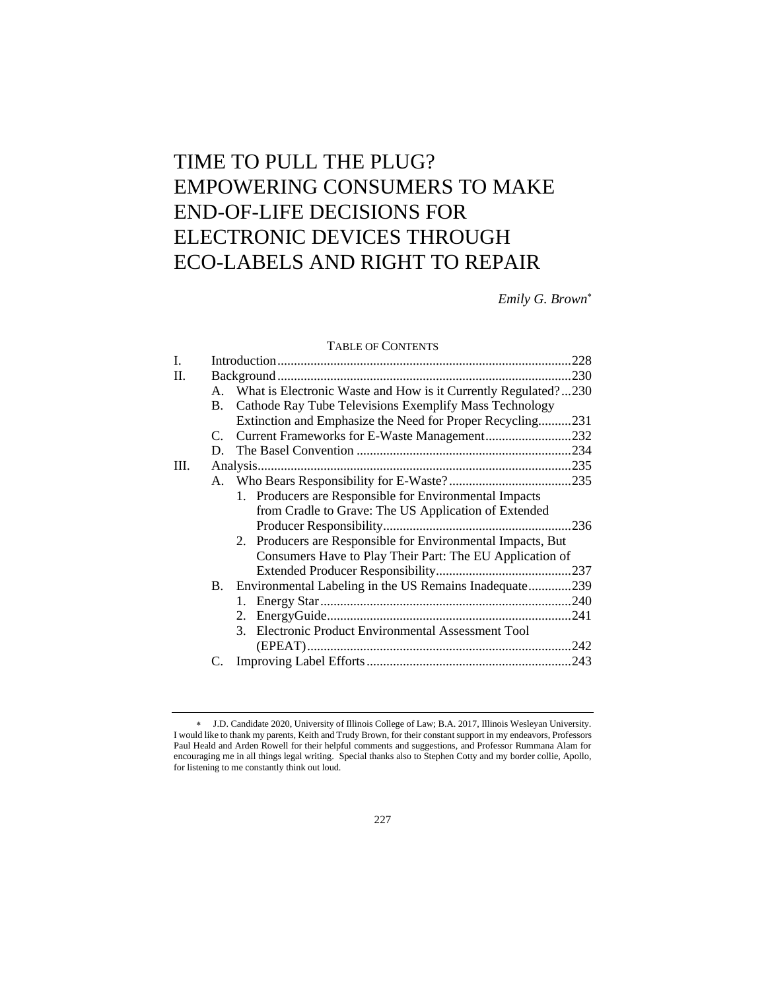# TIME TO PULL THE PLUG? EMPOWERING CONSUMERS TO MAKE END-OF-LIFE DECISIONS FOR ELECTRONIC DEVICES THROUGH ECO-LABELS AND RIGHT TO REPAIR

*Emily G. Brown*

# TABLE OF CONTENTS

|      |             | <b>TABLE OF CONTENTS</b>                                          |  |
|------|-------------|-------------------------------------------------------------------|--|
| I.   |             |                                                                   |  |
| H.   |             |                                                                   |  |
|      |             | A. What is Electronic Waste and How is it Currently Regulated?230 |  |
|      | <b>B.</b>   | Cathode Ray Tube Televisions Exemplify Mass Technology            |  |
|      |             | Extinction and Emphasize the Need for Proper Recycling231         |  |
|      | $C_{\cdot}$ | Current Frameworks for E-Waste Management232                      |  |
|      | D.          |                                                                   |  |
| III. |             |                                                                   |  |
|      |             |                                                                   |  |
|      |             | 1. Producers are Responsible for Environmental Impacts            |  |
|      |             | from Cradle to Grave: The US Application of Extended              |  |
|      |             |                                                                   |  |
|      |             | 2. Producers are Responsible for Environmental Impacts, But       |  |
|      |             | Consumers Have to Play Their Part: The EU Application of          |  |
|      |             |                                                                   |  |
|      |             | B. Environmental Labeling in the US Remains Inadequate239         |  |
|      |             |                                                                   |  |
|      |             | 2.                                                                |  |
|      |             | 3. Electronic Product Environmental Assessment Tool               |  |
|      |             |                                                                   |  |
|      | C.          |                                                                   |  |
|      |             |                                                                   |  |

J.D. Candidate 2020, University of Illinois College of Law; B.A. 2017, Illinois Wesleyan University. I would like to thank my parents, Keith and Trudy Brown, for their constant support in my endeavors, Professors Paul Heald and Arden Rowell for their helpful comments and suggestions, and Professor Rummana Alam for encouraging me in all things legal writing. Special thanks also to Stephen Cotty and my border collie, Apollo, for listening to me constantly think out loud.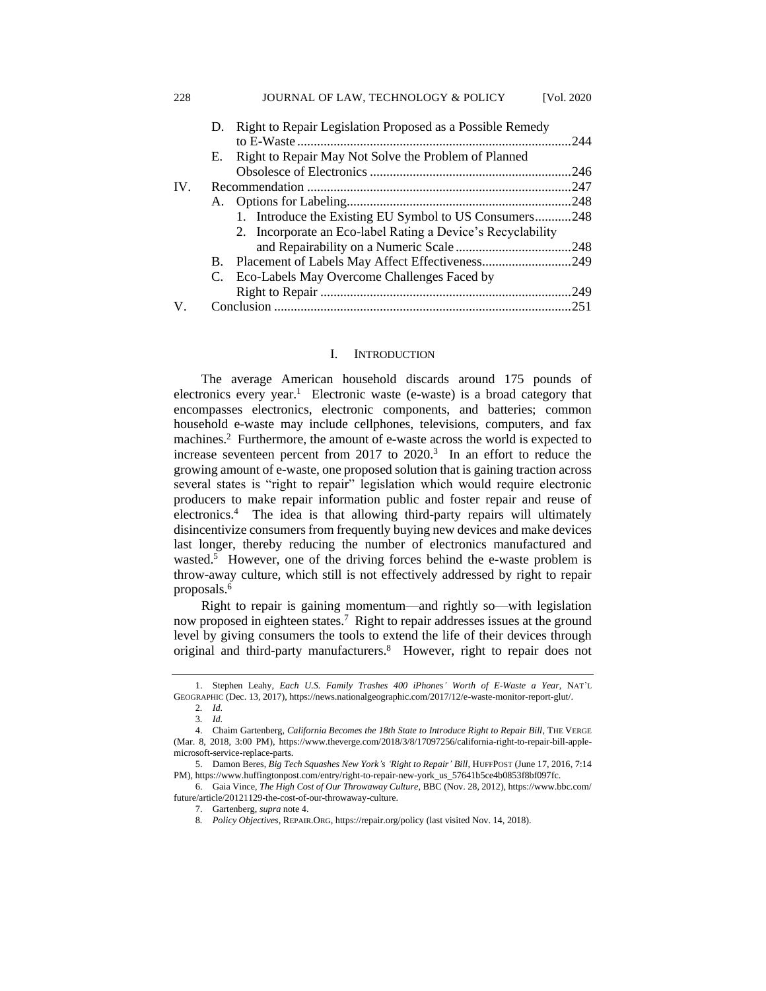|     | D. | Right to Repair Legislation Proposed as a Possible Remedy   |      |
|-----|----|-------------------------------------------------------------|------|
|     |    |                                                             | 244  |
|     | Е. | Right to Repair May Not Solve the Problem of Planned        |      |
|     |    |                                                             |      |
| IV. |    |                                                             | .247 |
|     |    |                                                             |      |
|     |    | 1. Introduce the Existing EU Symbol to US Consumers248      |      |
|     |    | 2. Incorporate an Eco-label Rating a Device's Recyclability |      |
|     |    |                                                             |      |
|     | B. | Placement of Labels May Affect Effectiveness249             |      |
|     | C. | Eco-Labels May Overcome Challenges Faced by                 |      |
|     |    |                                                             | .249 |
| V   |    |                                                             | 251  |

#### I. INTRODUCTION

The average American household discards around 175 pounds of electronics every year.<sup>1</sup> Electronic waste (e-waste) is a broad category that encompasses electronics, electronic components, and batteries; common household e-waste may include cellphones, televisions, computers, and fax machines.<sup>2</sup> Furthermore, the amount of e-waste across the world is expected to increase seventeen percent from  $2017$  to  $2020$ <sup>3</sup>. In an effort to reduce the growing amount of e-waste, one proposed solution that is gaining traction across several states is "right to repair" legislation which would require electronic producers to make repair information public and foster repair and reuse of electronics.<sup>4</sup> The idea is that allowing third-party repairs will ultimately disincentivize consumers from frequently buying new devices and make devices last longer, thereby reducing the number of electronics manufactured and wasted.<sup>5</sup> However, one of the driving forces behind the e-waste problem is throw-away culture, which still is not effectively addressed by right to repair proposals.<sup>6</sup>

Right to repair is gaining momentum—and rightly so—with legislation now proposed in eighteen states.<sup>7</sup> Right to repair addresses issues at the ground level by giving consumers the tools to extend the life of their devices through original and third-party manufacturers.<sup>8</sup> However, right to repair does not

228 JOURNAL OF LAW, TECHNOLOGY & POLICY [Vol. 2020

<sup>1.</sup> Stephen Leahy, *Each U.S. Family Trashes 400 iPhones' Worth of E-Waste a Year*, NAT'L GEOGRAPHIC (Dec. 13, 2017), https://news.nationalgeographic.com/2017/12/e-waste-monitor-report-glut/. 2*. Id.*

<sup>3</sup>*. Id.*

<sup>4.</sup> Chaim Gartenberg, *California Becomes the 18th State to Introduce Right to Repair Bill*, THE VERGE (Mar. 8, 2018, 3:00 PM), https://www.theverge.com/2018/3/8/17097256/california-right-to-repair-bill-applemicrosoft-service-replace-parts.

<sup>5.</sup> Damon Beres, *Big Tech Squashes New York's 'Right to Repair' Bill*, HUFFPOST (June 17, 2016, 7:14 PM), https://www.huffingtonpost.com/entry/right-to-repair-new-york\_us\_57641b5ce4b0853f8bf097fc.

<sup>6.</sup> Gaia Vince, *The High Cost of Our Throwaway Culture*, BBC (Nov. 28, 2012), https://www.bbc.com/ future/article/20121129-the-cost-of-our-throwaway-culture.

<sup>7.</sup> Gartenberg, *supra* note 4.

<sup>8</sup>*. Policy Objectives*, REPAIR.ORG, https://repair.org/policy (last visited Nov. 14, 2018).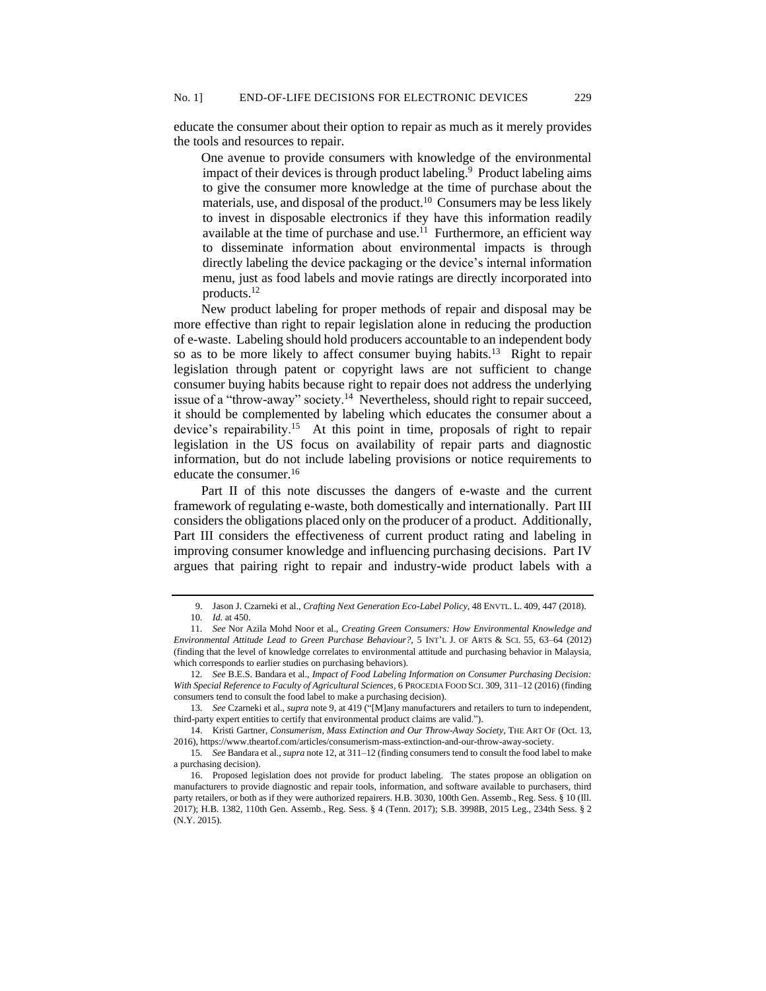educate the consumer about their option to repair as much as it merely provides the tools and resources to repair.

One avenue to provide consumers with knowledge of the environmental impact of their devices is through product labeling.<sup>9</sup> Product labeling aims to give the consumer more knowledge at the time of purchase about the materials, use, and disposal of the product.<sup>10</sup> Consumers may be less likely to invest in disposable electronics if they have this information readily available at the time of purchase and use.<sup>11</sup> Furthermore, an efficient way to disseminate information about environmental impacts is through directly labeling the device packaging or the device's internal information menu, just as food labels and movie ratings are directly incorporated into products.<sup>12</sup>

New product labeling for proper methods of repair and disposal may be more effective than right to repair legislation alone in reducing the production of e-waste. Labeling should hold producers accountable to an independent body so as to be more likely to affect consumer buying habits.<sup>13</sup> Right to repair legislation through patent or copyright laws are not sufficient to change consumer buying habits because right to repair does not address the underlying issue of a "throw-away" society.<sup>14</sup> Nevertheless, should right to repair succeed, it should be complemented by labeling which educates the consumer about a device's repairability.<sup>15</sup> At this point in time, proposals of right to repair legislation in the US focus on availability of repair parts and diagnostic information, but do not include labeling provisions or notice requirements to educate the consumer.<sup>16</sup>

Part II of this note discusses the dangers of e-waste and the current framework of regulating e-waste, both domestically and internationally. Part III considers the obligations placed only on the producer of a product. Additionally, Part III considers the effectiveness of current product rating and labeling in improving consumer knowledge and influencing purchasing decisions. Part IV argues that pairing right to repair and industry-wide product labels with a

<sup>9.</sup> Jason J. Czarneki et al., *Crafting Next Generation Eco-Label Policy*, 48 ENVTL. L. 409, 447 (2018). 10*. Id.* at 450.

<sup>11</sup>*. See* Nor Azila Mohd Noor et al., *Creating Green Consumers: How Environmental Knowledge and Environmental Attitude Lead to Green Purchase Behaviour?*, 5 INT'L J. OF ARTS & SCI. 55, 63–64 (2012) (finding that the level of knowledge correlates to environmental attitude and purchasing behavior in Malaysia, which corresponds to earlier studies on purchasing behaviors).

<sup>12</sup>*. See* B.E.S. Bandara et al., *Impact of Food Labeling Information on Consumer Purchasing Decision: With Special Reference to Faculty of Agricultural Sciences*, 6 PROCEDIA FOOD SCI. 309, 311–12 (2016) (finding consumers tend to consult the food label to make a purchasing decision).

<sup>13</sup>*. See* Czarneki et al., *supra* note 9, at 419 ("[M]any manufacturers and retailers to turn to independent, third-party expert entities to certify that environmental product claims are valid.").

<sup>14.</sup> Kristi Gartner, *Consumerism, Mass Extinction and Our Throw-Away Society*, THE ART OF (Oct. 13, 2016), https://www.theartof.com/articles/consumerism-mass-extinction-and-our-throw-away-society.

<sup>15</sup>*. See* Bandara et al., *supra* note 12, at 311–12 (finding consumers tend to consult the food label to make a purchasing decision).

<sup>16.</sup> Proposed legislation does not provide for product labeling. The states propose an obligation on manufacturers to provide diagnostic and repair tools, information, and software available to purchasers, third party retailers, or both as if they were authorized repairers. H.B. 3030, 100th Gen. Assemb., Reg. Sess. § 10 (Ill. 2017); H.B. 1382, 110th Gen. Assemb., Reg. Sess. § 4 (Tenn. 2017); S.B. 3998B, 2015 Leg., 234th Sess. § 2 (N.Y. 2015).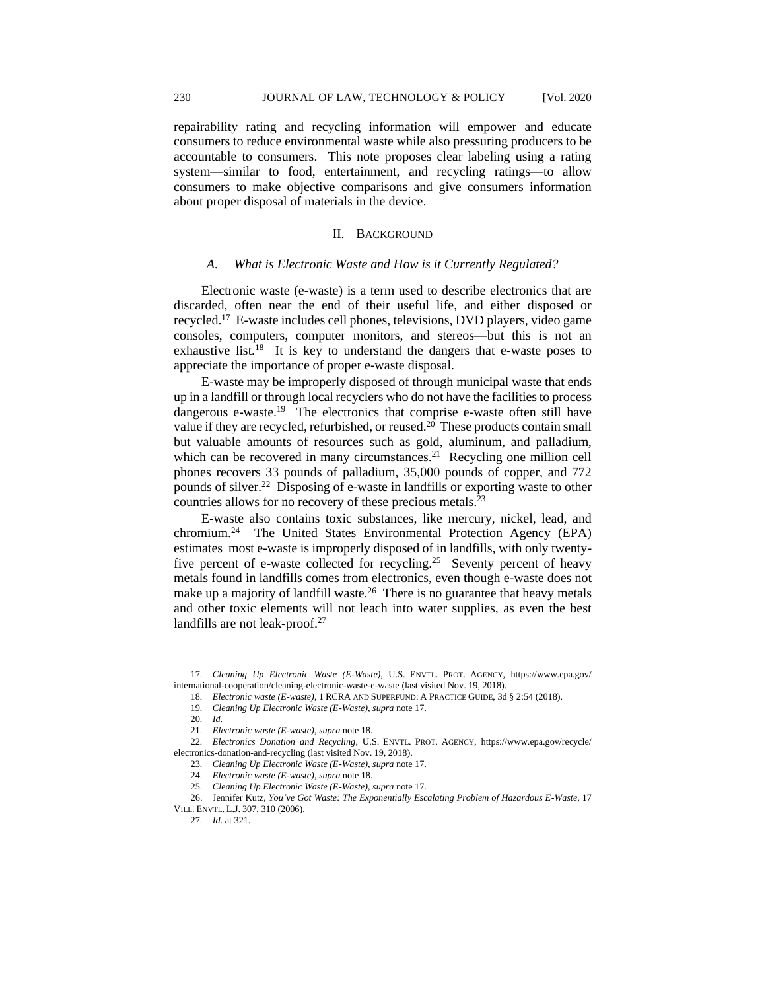repairability rating and recycling information will empower and educate consumers to reduce environmental waste while also pressuring producers to be accountable to consumers. This note proposes clear labeling using a rating system—similar to food, entertainment, and recycling ratings—to allow consumers to make objective comparisons and give consumers information about proper disposal of materials in the device.

#### II. BACKGROUND

#### *A. What is Electronic Waste and How is it Currently Regulated?*

Electronic waste (e-waste) is a term used to describe electronics that are discarded, often near the end of their useful life, and either disposed or recycled.<sup>17</sup> E-waste includes cell phones, televisions, DVD players, video game consoles, computers, computer monitors, and stereos—but this is not an exhaustive list.<sup>18</sup> It is key to understand the dangers that e-waste poses to appreciate the importance of proper e-waste disposal.

E-waste may be improperly disposed of through municipal waste that ends up in a landfill or through local recyclers who do not have the facilities to process dangerous e-waste.<sup>19</sup> The electronics that comprise e-waste often still have value if they are recycled, refurbished, or reused.<sup>20</sup> These products contain small but valuable amounts of resources such as gold, aluminum, and palladium, which can be recovered in many circumstances.<sup>21</sup> Recycling one million cell phones recovers 33 pounds of palladium, 35,000 pounds of copper, and 772 pounds of silver.<sup>22</sup> Disposing of e-waste in landfills or exporting waste to other countries allows for no recovery of these precious metals.<sup>23</sup>

E-waste also contains toxic substances, like mercury, nickel, lead, and chromium.<sup>24</sup> The United States Environmental Protection Agency (EPA) estimates most e-waste is improperly disposed of in landfills, with only twentyfive percent of e-waste collected for recycling.<sup>25</sup> Seventy percent of heavy metals found in landfills comes from electronics, even though e-waste does not make up a majority of landfill waste. $26$  There is no guarantee that heavy metals and other toxic elements will not leach into water supplies, as even the best landfills are not leak-proof.<sup>27</sup>

<sup>17</sup>*. Cleaning Up Electronic Waste (E-Waste)*, U.S. ENVTL. PROT. AGENCY, https://www.epa.gov/ international-cooperation/cleaning-electronic-waste-e-waste (last visited Nov. 19, 2018).

<sup>18</sup>*. Electronic waste (E-waste)*, 1 RCRA AND SUPERFUND: A PRACTICE GUIDE, 3d § 2:54 (2018).

<sup>19</sup>*. Cleaning Up Electronic Waste (E-Waste)*, *supra* note 17.

<sup>20</sup>*. Id.*

<sup>21</sup>*. Electronic waste (E-waste)*, *supra* note 18.

<sup>22</sup>*. Electronics Donation and Recycling*, U.S. ENVTL. PROT. AGENCY, https://www.epa.gov/recycle/ electronics-donation-and-recycling (last visited Nov. 19, 2018).

<sup>23</sup>*. Cleaning Up Electronic Waste (E-Waste)*, *supra* note 17.

<sup>24</sup>*. Electronic waste (E-waste)*, *supra* note 18.

<sup>25</sup>*. Cleaning Up Electronic Waste (E-Waste)*, *supra* note 17.

<sup>26.</sup> Jennifer Kutz, *You've Got Waste: The Exponentially Escalating Problem of Hazardous E-Waste*, 17 VILL. ENVTL. L.J. 307, 310 (2006).

<sup>27</sup>*. Id.* at 321.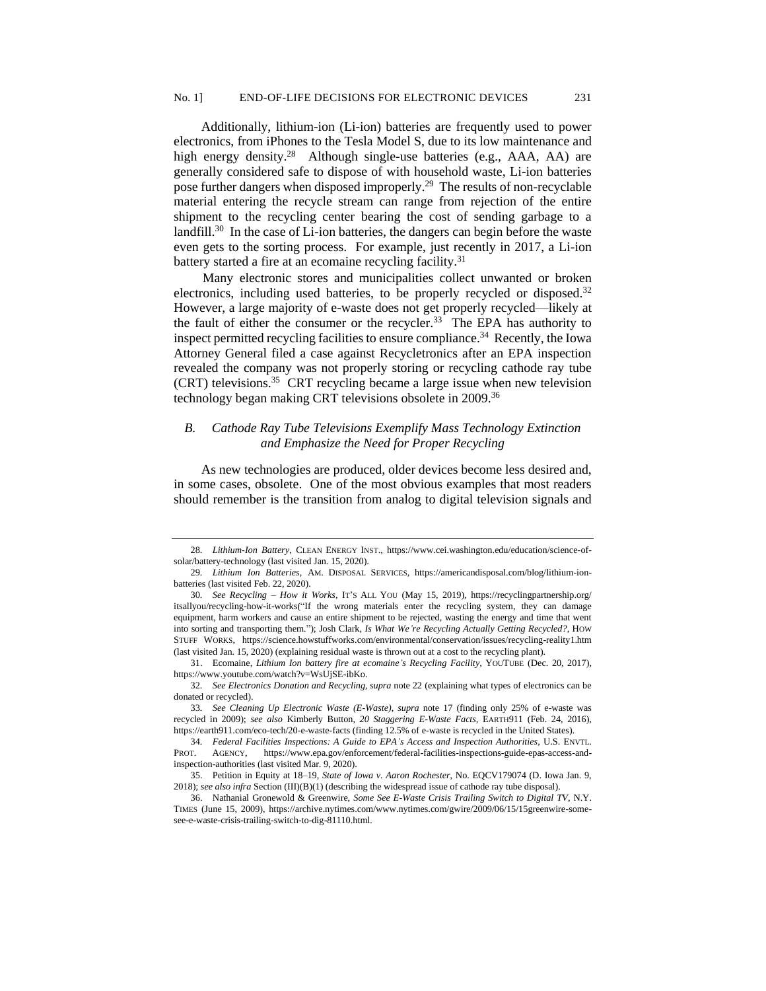Additionally, lithium-ion (Li-ion) batteries are frequently used to power electronics, from iPhones to the Tesla Model S, due to its low maintenance and high energy density.<sup>28</sup> Although single-use batteries (e.g., AAA, AA) are generally considered safe to dispose of with household waste, Li-ion batteries pose further dangers when disposed improperly.<sup>29</sup> The results of non-recyclable material entering the recycle stream can range from rejection of the entire shipment to the recycling center bearing the cost of sending garbage to a landfill.<sup>30</sup> In the case of Li-ion batteries, the dangers can begin before the waste even gets to the sorting process. For example, just recently in 2017, a Li-ion battery started a fire at an ecomaine recycling facility.<sup>31</sup>

Many electronic stores and municipalities collect unwanted or broken electronics, including used batteries, to be properly recycled or disposed.<sup>32</sup> However, a large majority of e-waste does not get properly recycled—likely at the fault of either the consumer or the recycler.<sup>33</sup> The EPA has authority to inspect permitted recycling facilities to ensure compliance.<sup>34</sup> Recently, the Iowa Attorney General filed a case against Recycletronics after an EPA inspection revealed the company was not properly storing or recycling cathode ray tube (CRT) televisions.<sup>35</sup> CRT recycling became a large issue when new television technology began making CRT televisions obsolete in 2009.<sup>36</sup>

## *B. Cathode Ray Tube Televisions Exemplify Mass Technology Extinction and Emphasize the Need for Proper Recycling*

As new technologies are produced, older devices become less desired and, in some cases, obsolete. One of the most obvious examples that most readers should remember is the transition from analog to digital television signals and

<sup>28</sup>*. Lithium-Ion Battery*, CLEAN ENERGY INST., https://www.cei.washington.edu/education/science-ofsolar/battery-technology (last visited Jan. 15, 2020).

<sup>29</sup>*. Lithium Ion Batteries*, AM. DISPOSAL SERVICES, https://americandisposal.com/blog/lithium-ionbatteries (last visited Feb. 22, 2020).

<sup>30</sup>*. See Recycling – How it Works*, IT'S ALL YOU (May 15, 2019), https://recyclingpartnership.org/ itsallyou/recycling-how-it-works("If the wrong materials enter the recycling system, they can damage equipment, harm workers and cause an entire shipment to be rejected, wasting the energy and time that went into sorting and transporting them."); Josh Clark, *Is What We're Recycling Actually Getting Recycled?*, HOW STUFF WORKS, https://science.howstuffworks.com/environmental/conservation/issues/recycling-reality1.htm (last visited Jan. 15, 2020) (explaining residual waste is thrown out at a cost to the recycling plant).

<sup>31.</sup> Ecomaine, *Lithium Ion battery fire at ecomaine's Recycling Facility*, YOUTUBE (Dec. 20, 2017), https://www.youtube.com/watch?v=WsUjSE-ibKo.

<sup>32</sup>*. See Electronics Donation and Recycling, supra* note 22 (explaining what types of electronics can be donated or recycled).

<sup>33</sup>*. See Cleaning Up Electronic Waste (E-Waste)*, *supra* note 17 (finding only 25% of e-waste was recycled in 2009); *see also* Kimberly Button, *20 Staggering E-Waste Facts,* EARTH911 (Feb. 24, 2016), https://earth911.com/eco-tech/20-e-waste-facts (finding 12.5% of e-waste is recycled in the United States).

<sup>34</sup>*. Federal Facilities Inspections: A Guide to EPA's Access and Inspection Authorities*, U.S. ENVTL. PROT. AGENCY, https://www.epa.gov/enforcement/federal-facilities-inspections-guide-epas-access-andinspection-authorities (last visited Mar. 9, 2020).

<sup>35.</sup> Petition in Equity at 18–19, *State of Iowa v. Aaron Rochester*, No. EQCV179074 (D. Iowa Jan. 9, 2018); *see also infra* Section (III)(B)(1) (describing the widespread issue of cathode ray tube disposal).

<sup>36.</sup> Nathanial Gronewold & Greenwire, *Some See E-Waste Crisis Trailing Switch to Digital TV*, N.Y. TIMES (June 15, 2009), https://archive.nytimes.com/www.nytimes.com/gwire/2009/06/15/15greenwire-somesee-e-waste-crisis-trailing-switch-to-dig-81110.html.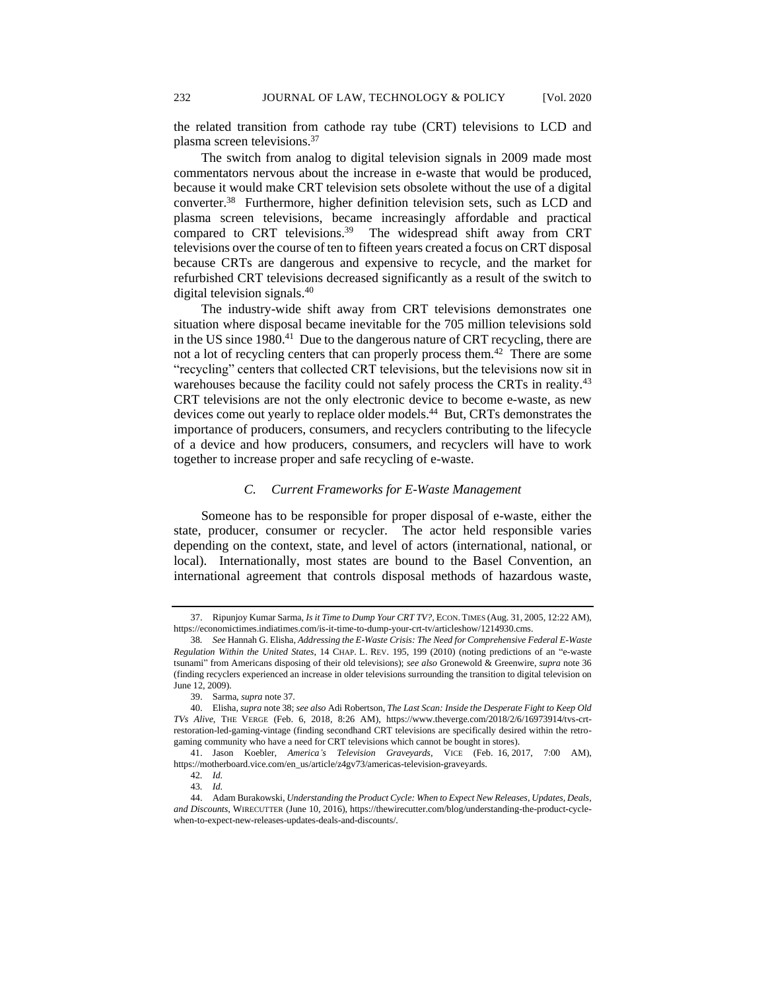the related transition from cathode ray tube (CRT) televisions to LCD and plasma screen televisions.<sup>37</sup>

The switch from analog to digital television signals in 2009 made most commentators nervous about the increase in e-waste that would be produced, because it would make CRT television sets obsolete without the use of a digital converter.<sup>38</sup> Furthermore, higher definition television sets, such as LCD and plasma screen televisions, became increasingly affordable and practical compared to CRT televisions.<sup>39</sup> The widespread shift away from CRT televisions over the course of ten to fifteen years created a focus on CRT disposal because CRTs are dangerous and expensive to recycle, and the market for refurbished CRT televisions decreased significantly as a result of the switch to digital television signals.<sup>40</sup>

The industry-wide shift away from CRT televisions demonstrates one situation where disposal became inevitable for the 705 million televisions sold in the US since 1980.<sup>41</sup> Due to the dangerous nature of CRT recycling, there are not a lot of recycling centers that can properly process them.<sup>42</sup> There are some "recycling" centers that collected CRT televisions, but the televisions now sit in warehouses because the facility could not safely process the CRTs in reality.<sup>43</sup> CRT televisions are not the only electronic device to become e-waste, as new devices come out yearly to replace older models.<sup>44</sup> But, CRTs demonstrates the importance of producers, consumers, and recyclers contributing to the lifecycle of a device and how producers, consumers, and recyclers will have to work together to increase proper and safe recycling of e-waste.

## *C. Current Frameworks for E-Waste Management*

Someone has to be responsible for proper disposal of e-waste, either the state, producer, consumer or recycler. The actor held responsible varies depending on the context, state, and level of actors (international, national, or local). Internationally, most states are bound to the Basel Convention, an international agreement that controls disposal methods of hazardous waste,

<sup>37.</sup> Ripunjoy Kumar Sarma, *Is it Time to Dump Your CRT TV?,* ECON. TIMES (Aug. 31, 2005, 12:22 AM), https://economictimes.indiatimes.com/is-it-time-to-dump-your-crt-tv/articleshow/1214930.cms.

<sup>38</sup>*. See* Hannah G. Elisha, *Addressing the E-Waste Crisis: The Need for Comprehensive Federal E-Waste Regulation Within the United States*, 14 CHAP. L. REV. 195, 199 (2010) (noting predictions of an "e-waste tsunami" from Americans disposing of their old televisions); *see also* Gronewold & Greenwire, *supra* note 36 (finding recyclers experienced an increase in older televisions surrounding the transition to digital television on June 12, 2009).

<sup>39.</sup> Sarma, *supra* note 37.

<sup>40.</sup> Elisha, *supra* note 38; *see also* Adi Robertson, *The Last Scan: Inside the Desperate Fight to Keep Old TVs Alive*, THE VERGE (Feb. 6, 2018, 8:26 AM), https://www.theverge.com/2018/2/6/16973914/tvs-crtrestoration-led-gaming-vintage (finding secondhand CRT televisions are specifically desired within the retrogaming community who have a need for CRT televisions which cannot be bought in stores).

<sup>41.</sup> Jason Koebler, *America's Television Graveyards*, VICE (Feb. 16, 2017, 7:00 AM), https://motherboard.vice.com/en\_us/article/z4gv73/americas-television-graveyards.

<sup>42</sup>*. Id.*

<sup>43</sup>*. Id.*

<sup>44.</sup> Adam Burakowski, *Understanding the Product Cycle: When to Expect New Releases, Updates, Deals, and Discounts*, WIRECUTTER (June 10, 2016), https://thewirecutter.com/blog/understanding-the-product-cyclewhen-to-expect-new-releases-updates-deals-and-discounts/.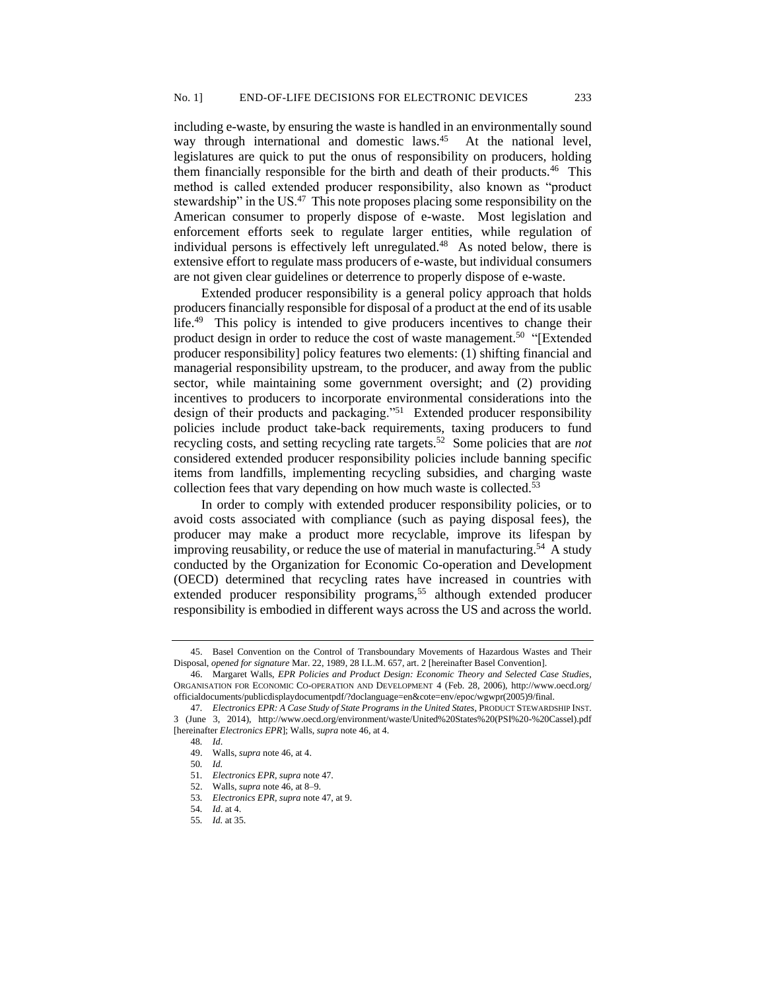including e-waste, by ensuring the waste is handled in an environmentally sound way through international and domestic laws.<sup>45</sup> At the national level, legislatures are quick to put the onus of responsibility on producers, holding them financially responsible for the birth and death of their products.<sup>46</sup> This method is called extended producer responsibility, also known as "product stewardship" in the US.<sup>47</sup> This note proposes placing some responsibility on the American consumer to properly dispose of e-waste. Most legislation and enforcement efforts seek to regulate larger entities, while regulation of individual persons is effectively left unregulated.<sup>48</sup> As noted below, there is extensive effort to regulate mass producers of e-waste, but individual consumers are not given clear guidelines or deterrence to properly dispose of e-waste.

Extended producer responsibility is a general policy approach that holds producers financially responsible for disposal of a product at the end of its usable life.<sup>49</sup> This policy is intended to give producers incentives to change their product design in order to reduce the cost of waste management.<sup>50</sup> "[Extended producer responsibility] policy features two elements: (1) shifting financial and managerial responsibility upstream, to the producer, and away from the public sector, while maintaining some government oversight; and (2) providing incentives to producers to incorporate environmental considerations into the design of their products and packaging."<sup>51</sup> Extended producer responsibility policies include product take-back requirements, taxing producers to fund recycling costs, and setting recycling rate targets.<sup>52</sup> Some policies that are *not* considered extended producer responsibility policies include banning specific items from landfills, implementing recycling subsidies, and charging waste collection fees that vary depending on how much waste is collected.<sup>53</sup>

In order to comply with extended producer responsibility policies, or to avoid costs associated with compliance (such as paying disposal fees), the producer may make a product more recyclable, improve its lifespan by improving reusability, or reduce the use of material in manufacturing.<sup>54</sup> A study conducted by the Organization for Economic Co-operation and Development (OECD) determined that recycling rates have increased in countries with extended producer responsibility programs,<sup>55</sup> although extended producer responsibility is embodied in different ways across the US and across the world.

<sup>45.</sup> Basel Convention on the Control of Transboundary Movements of Hazardous Wastes and Their Disposal, *opened for signature* Mar. 22, 1989, 28 I.L.M. 657, art. 2 [hereinafter Basel Convention].

<sup>46.</sup> Margaret Walls, *EPR Policies and Product Design: Economic Theory and Selected Case Studies*, ORGANISATION FOR ECONOMIC CO-OPERATION AND DEVELOPMENT 4 (Feb. 28, 2006), http://www.oecd.org/ officialdocuments/publicdisplaydocumentpdf/?doclanguage=en&cote=env/epoc/wgwpr(2005)9/final.

<sup>47</sup>*. Electronics EPR: A Case Study of State Programs in the United States*, PRODUCT STEWARDSHIP INST. 3 (June 3, 2014), http://www.oecd.org/environment/waste/United%20States%20(PSI%20-%20Cassel).pdf [hereinafter *Electronics EPR*]; Walls, *supra* note 46, at 4.

<sup>48</sup>*. Id*. 49. Walls, *supra* note 46, at 4.

<sup>50</sup>*. Id.*

<sup>51</sup>*. Electronics EPR, supra* note 47.

<sup>52.</sup> Walls, *supra* note 46, at 8–9.

<sup>53</sup>*. Electronics EPR, supra* note 47, at 9.

<sup>54</sup>*. Id*. at 4.

<sup>55</sup>*. Id.* at 35.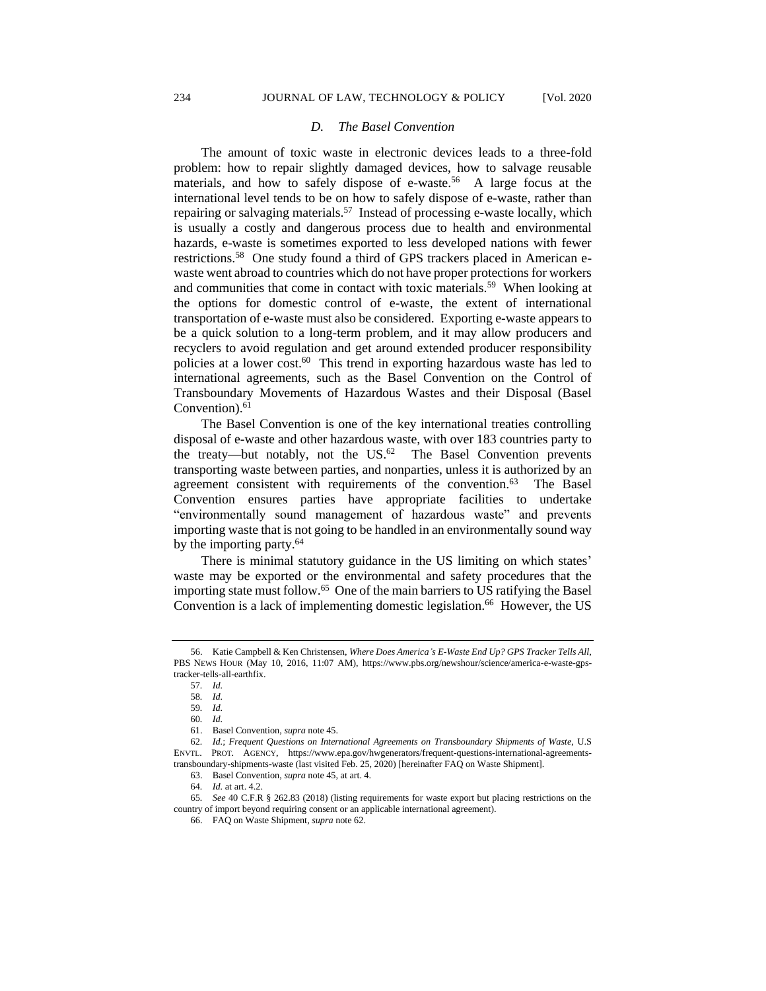#### *D. The Basel Convention*

The amount of toxic waste in electronic devices leads to a three-fold problem: how to repair slightly damaged devices, how to salvage reusable materials, and how to safely dispose of e-waste.<sup>56</sup> A large focus at the international level tends to be on how to safely dispose of e-waste, rather than repairing or salvaging materials.<sup>57</sup> Instead of processing e-waste locally, which is usually a costly and dangerous process due to health and environmental hazards, e-waste is sometimes exported to less developed nations with fewer restrictions.<sup>58</sup> One study found a third of GPS trackers placed in American ewaste went abroad to countries which do not have proper protections for workers and communities that come in contact with toxic materials.<sup>59</sup> When looking at the options for domestic control of e-waste, the extent of international transportation of e-waste must also be considered. Exporting e-waste appears to be a quick solution to a long-term problem, and it may allow producers and recyclers to avoid regulation and get around extended producer responsibility policies at a lower cost.<sup>60</sup> This trend in exporting hazardous waste has led to international agreements, such as the Basel Convention on the Control of Transboundary Movements of Hazardous Wastes and their Disposal (Basel Convention).<sup>61</sup>

The Basel Convention is one of the key international treaties controlling disposal of e-waste and other hazardous waste, with over 183 countries party to the treaty—but notably, not the  $US^{62}$  The Basel Convention prevents transporting waste between parties, and nonparties, unless it is authorized by an agreement consistent with requirements of the convention.<sup>63</sup> The Basel Convention ensures parties have appropriate facilities to undertake "environmentally sound management of hazardous waste" and prevents importing waste that is not going to be handled in an environmentally sound way by the importing party.<sup>64</sup>

There is minimal statutory guidance in the US limiting on which states' waste may be exported or the environmental and safety procedures that the importing state must follow.<sup>65</sup> One of the main barriers to US ratifying the Basel Convention is a lack of implementing domestic legislation.<sup>66</sup> However, the US

<sup>56.</sup> Katie Campbell & Ken Christensen, *Where Does America's E-Waste End Up? GPS Tracker Tells All*, PBS NEWS HOUR (May 10, 2016, 11:07 AM), https://www.pbs.org/newshour/science/america-e-waste-gpstracker-tells-all-earthfix.

<sup>57</sup>*. Id.*

<sup>58</sup>*. Id.*

<sup>59</sup>*. Id.*

<sup>60</sup>*. Id.*

<sup>61.</sup> Basel Convention, *supra* note 45.

<sup>62</sup>*. Id.*; *Frequent Questions on International Agreements on Transboundary Shipments of Waste*, U.S ENVTL. PROT. AGENCY, https://www.epa.gov/hwgenerators/frequent-questions-international-agreementstransboundary-shipments-waste (last visited Feb. 25, 2020) [hereinafter FAQ on Waste Shipment].

<sup>63.</sup> Basel Convention, *supra* note 45, at art. 4.

<sup>64</sup>*. Id.* at art. 4.2.

<sup>65</sup>*. See* 40 C.F.R § 262.83 (2018) (listing requirements for waste export but placing restrictions on the country of import beyond requiring consent or an applicable international agreement).

<sup>66.</sup> FAQ on Waste Shipment*, supra* note 62.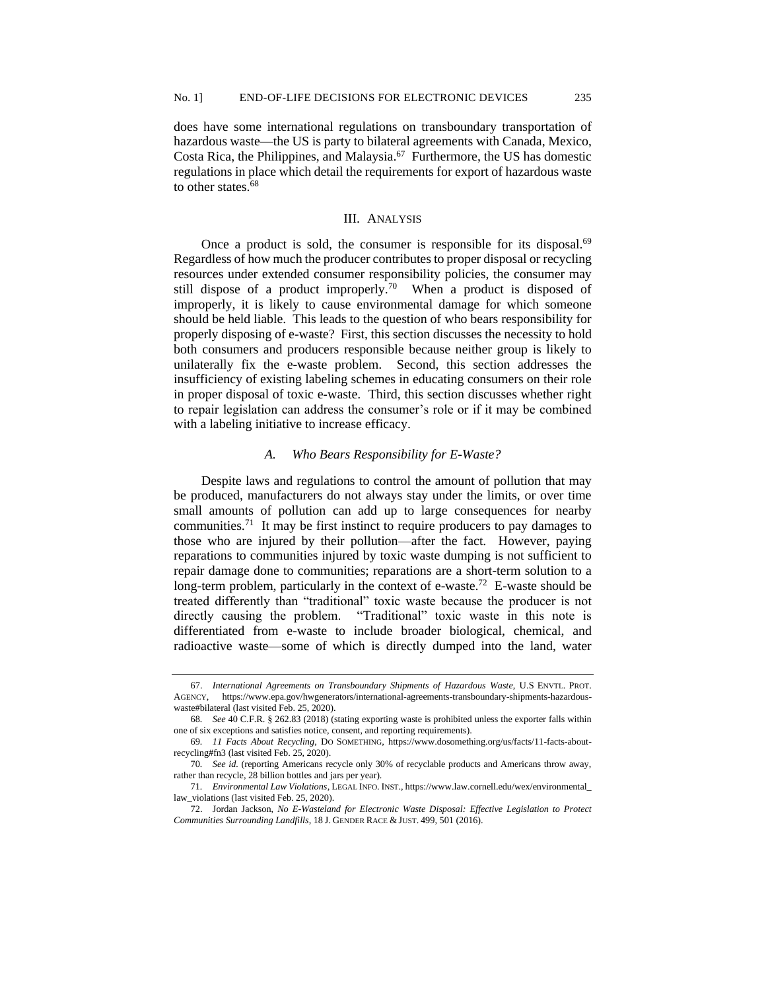does have some international regulations on transboundary transportation of hazardous waste—the US is party to bilateral agreements with Canada, Mexico, Costa Rica, the Philippines, and Malaysia.<sup>67</sup> Furthermore, the US has domestic regulations in place which detail the requirements for export of hazardous waste to other states.<sup>68</sup>

## III. ANALYSIS

Once a product is sold, the consumer is responsible for its disposal.<sup>69</sup> Regardless of how much the producer contributes to proper disposal or recycling resources under extended consumer responsibility policies, the consumer may still dispose of a product improperly.<sup>70</sup> When a product is disposed of improperly, it is likely to cause environmental damage for which someone should be held liable. This leads to the question of who bears responsibility for properly disposing of e-waste? First, this section discusses the necessity to hold both consumers and producers responsible because neither group is likely to unilaterally fix the e-waste problem. Second, this section addresses the insufficiency of existing labeling schemes in educating consumers on their role in proper disposal of toxic e-waste. Third, this section discusses whether right to repair legislation can address the consumer's role or if it may be combined with a labeling initiative to increase efficacy.

#### *A. Who Bears Responsibility for E-Waste?*

Despite laws and regulations to control the amount of pollution that may be produced, manufacturers do not always stay under the limits, or over time small amounts of pollution can add up to large consequences for nearby communities.<sup>71</sup> It may be first instinct to require producers to pay damages to those who are injured by their pollution—after the fact. However, paying reparations to communities injured by toxic waste dumping is not sufficient to repair damage done to communities; reparations are a short-term solution to a long-term problem, particularly in the context of e-waste.<sup>72</sup> E-waste should be treated differently than "traditional" toxic waste because the producer is not directly causing the problem. "Traditional" toxic waste in this note is differentiated from e-waste to include broader biological, chemical, and radioactive waste—some of which is directly dumped into the land, water

<sup>67.</sup> *International Agreements on Transboundary Shipments of Hazardous Waste*, U.S ENVTL. PROT. AGENCY, https://www.epa.gov/hwgenerators/international-agreements-transboundary-shipments-hazardouswaste#bilateral (last visited Feb. 25, 2020).

<sup>68</sup>*. See* 40 C.F.R. § 262.83 (2018) (stating exporting waste is prohibited unless the exporter falls within one of six exceptions and satisfies notice, consent, and reporting requirements).

<sup>69</sup>*. 11 Facts About Recycling*, DO SOMETHING, https://www.dosomething.org/us/facts/11-facts-aboutrecycling#fn3 (last visited Feb. 25, 2020).

<sup>70</sup>*. See id.* (reporting Americans recycle only 30% of recyclable products and Americans throw away, rather than recycle, 28 billion bottles and jars per year).

<sup>71</sup>*. Environmental Law Violations*, LEGAL INFO. INST., https://www.law.cornell.edu/wex/environmental\_ law\_violations (last visited Feb. 25, 2020).

<sup>72.</sup> Jordan Jackson, *No E-Wasteland for Electronic Waste Disposal: Effective Legislation to Protect Communities Surrounding Landfills*, 18 J. GENDER RACE & JUST. 499, 501 (2016).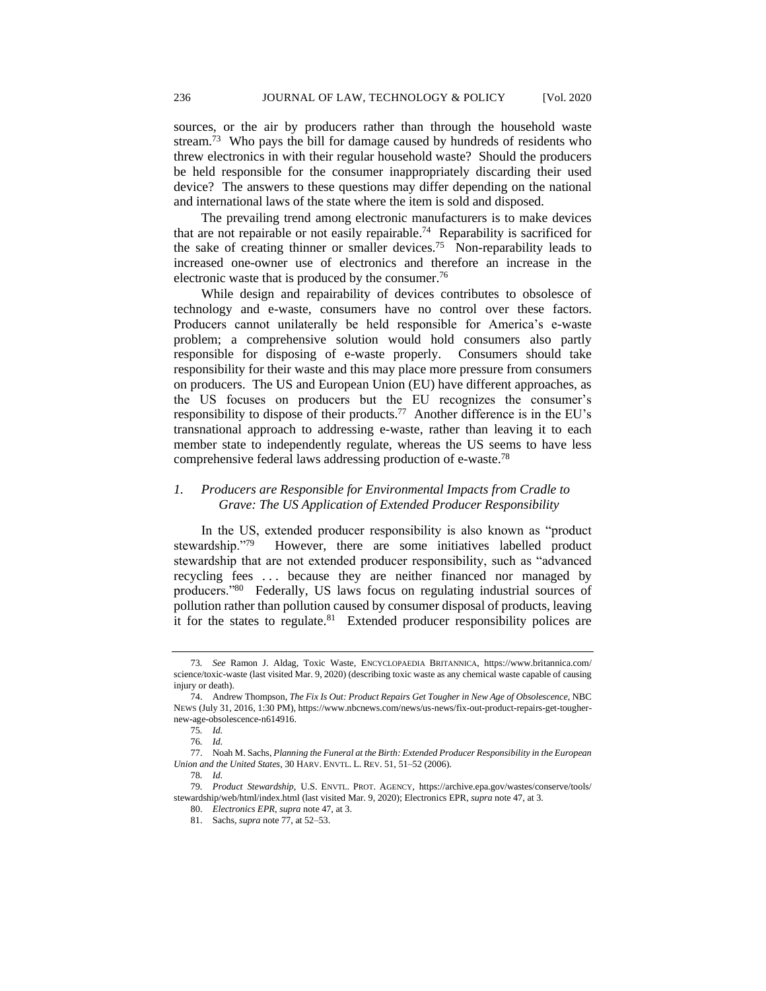sources, or the air by producers rather than through the household waste stream.<sup>73</sup> Who pays the bill for damage caused by hundreds of residents who threw electronics in with their regular household waste? Should the producers be held responsible for the consumer inappropriately discarding their used device? The answers to these questions may differ depending on the national and international laws of the state where the item is sold and disposed.

The prevailing trend among electronic manufacturers is to make devices that are not repairable or not easily repairable.<sup>74</sup> Reparability is sacrificed for the sake of creating thinner or smaller devices.<sup>75</sup> Non-reparability leads to increased one-owner use of electronics and therefore an increase in the electronic waste that is produced by the consumer.<sup>76</sup>

While design and repairability of devices contributes to obsolesce of technology and e-waste, consumers have no control over these factors. Producers cannot unilaterally be held responsible for America's e-waste problem; a comprehensive solution would hold consumers also partly responsible for disposing of e-waste properly. Consumers should take responsibility for their waste and this may place more pressure from consumers on producers. The US and European Union (EU) have different approaches, as the US focuses on producers but the EU recognizes the consumer's responsibility to dispose of their products.<sup>77</sup> Another difference is in the EU's transnational approach to addressing e-waste, rather than leaving it to each member state to independently regulate, whereas the US seems to have less comprehensive federal laws addressing production of e-waste.<sup>78</sup>

## *1. Producers are Responsible for Environmental Impacts from Cradle to Grave: The US Application of Extended Producer Responsibility*

In the US, extended producer responsibility is also known as "product stewardship."79 However, there are some initiatives labelled product stewardship that are not extended producer responsibility, such as "advanced recycling fees . . . because they are neither financed nor managed by producers."<sup>80</sup> Federally, US laws focus on regulating industrial sources of pollution rather than pollution caused by consumer disposal of products, leaving it for the states to regulate.<sup>81</sup> Extended producer responsibility polices are

<sup>73</sup>*. See* Ramon J. Aldag, Toxic Waste, ENCYCLOPAEDIA BRITANNICA, https://www.britannica.com/ science/toxic-waste (last visited Mar. 9, 2020) (describing toxic waste as any chemical waste capable of causing injury or death).

<sup>74.</sup> Andrew Thompson, *The Fix Is Out: Product Repairs Get Tougher in New Age of Obsolescence*, NBC NEWS (July 31, 2016, 1:30 PM), https://www.nbcnews.com/news/us-news/fix-out-product-repairs-get-toughernew-age-obsolescence-n614916.

<sup>75</sup>*. Id.*

<sup>76</sup>*. Id.*

<sup>77.</sup> Noah M. Sachs, *Planning the Funeral at the Birth: Extended Producer Responsibility in the European Union and the United States*, 30 HARV. ENVTL. L. REV. 51, 51–52 (2006).

<sup>78</sup>*. Id.*

<sup>79</sup>*. Product Stewardship*, U.S. ENVTL. PROT. AGENCY, https://archive.epa.gov/wastes/conserve/tools/ stewardship/web/html/index.html (last visited Mar. 9, 2020); Electronics EPR*, supra* note 47, at 3.

<sup>80.</sup> *Electronics EPR, supra* note 47, at 3.

<sup>81.</sup> Sachs, *supra* note 77, at 52–53.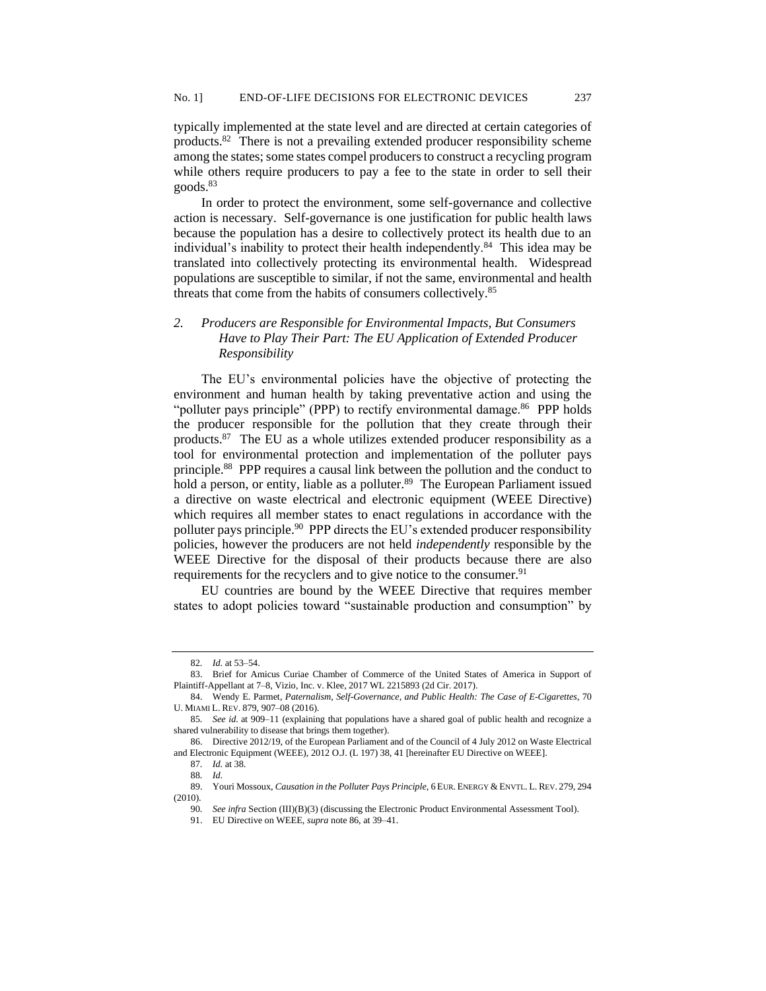typically implemented at the state level and are directed at certain categories of products.<sup>82</sup> There is not a prevailing extended producer responsibility scheme among the states; some states compel producers to construct a recycling program while others require producers to pay a fee to the state in order to sell their goods.<sup>83</sup>

In order to protect the environment, some self-governance and collective action is necessary. Self-governance is one justification for public health laws because the population has a desire to collectively protect its health due to an individual's inability to protect their health independently.<sup>84</sup> This idea may be translated into collectively protecting its environmental health. Widespread populations are susceptible to similar, if not the same, environmental and health threats that come from the habits of consumers collectively.<sup>85</sup>

# *2. Producers are Responsible for Environmental Impacts, But Consumers Have to Play Their Part: The EU Application of Extended Producer Responsibility*

The EU's environmental policies have the objective of protecting the environment and human health by taking preventative action and using the "polluter pays principle" (PPP) to rectify environmental damage.<sup>86</sup> PPP holds the producer responsible for the pollution that they create through their products.<sup>87</sup> The EU as a whole utilizes extended producer responsibility as a tool for environmental protection and implementation of the polluter pays principle.<sup>88</sup> PPP requires a causal link between the pollution and the conduct to hold a person, or entity, liable as a polluter.<sup>89</sup> The European Parliament issued a directive on waste electrical and electronic equipment (WEEE Directive) which requires all member states to enact regulations in accordance with the polluter pays principle.<sup>90</sup> PPP directs the EU's extended producer responsibility policies, however the producers are not held *independently* responsible by the WEEE Directive for the disposal of their products because there are also requirements for the recyclers and to give notice to the consumer.<sup>91</sup>

EU countries are bound by the WEEE Directive that requires member states to adopt policies toward "sustainable production and consumption" by

<sup>82</sup>*. Id.* at 53–54.

<sup>83.</sup> Brief for Amicus Curiae Chamber of Commerce of the United States of America in Support of Plaintiff-Appellant at 7–8, Vizio, Inc. v. Klee, 2017 WL 2215893 (2d Cir. 2017).

<sup>84.</sup> Wendy E. Parmet, *Paternalism, Self-Governance, and Public Health: The Case of E-Cigarettes*, 70 U. MIAMI L. REV. 879, 907–08 (2016).

<sup>85</sup>*. See id.* at 909–11 (explaining that populations have a shared goal of public health and recognize a shared vulnerability to disease that brings them together).

<sup>86.</sup> Directive 2012/19, of the European Parliament and of the Council of 4 July 2012 on Waste Electrical and Electronic Equipment (WEEE), 2012 O.J. (L 197) 38, 41 [hereinafter EU Directive on WEEE].

<sup>87</sup>*. Id.* at 38.

<sup>88</sup>*. Id.*

<sup>89.</sup> Youri Mossoux, *Causation in the Polluter Pays Principle,* 6 EUR. ENERGY & ENVTL. L. REV. 279, 294 (2010).

<sup>90</sup>*. See infra* Section (III)(B)(3) (discussing the Electronic Product Environmental Assessment Tool).

<sup>91.</sup> EU Directive on WEEE, *supra* note 86, at 39–41.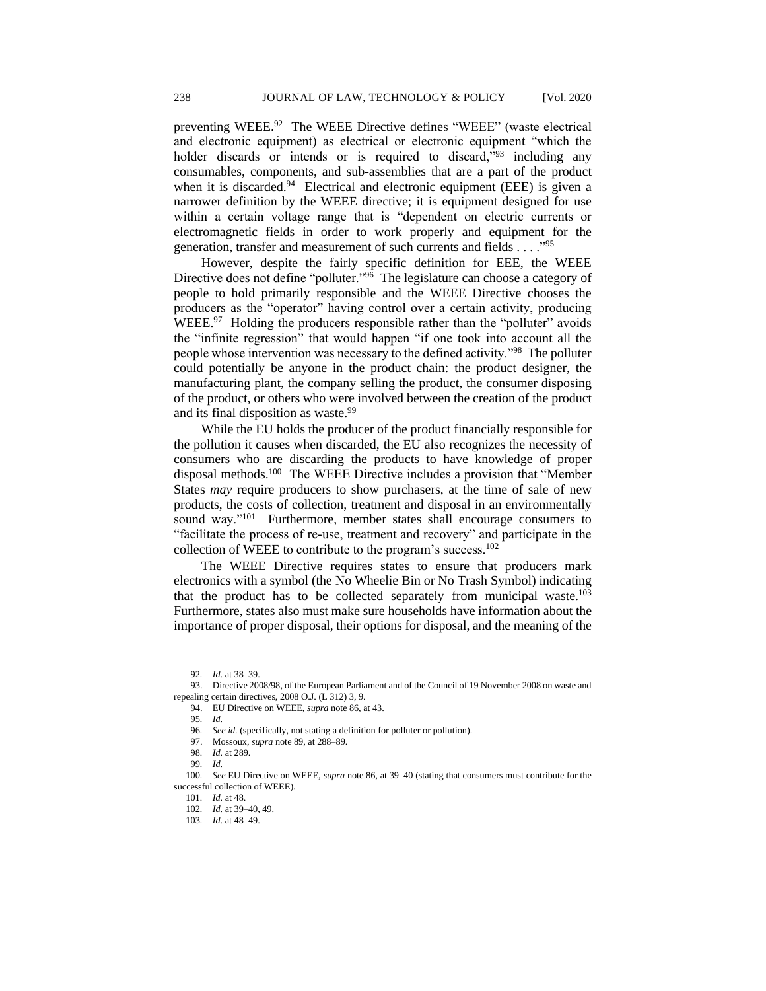preventing WEEE.<sup>92</sup> The WEEE Directive defines "WEEE" (waste electrical and electronic equipment) as electrical or electronic equipment "which the holder discards or intends or is required to discard,<sup>"93</sup> including any consumables, components, and sub-assemblies that are a part of the product when it is discarded.<sup>94</sup> Electrical and electronic equipment (EEE) is given a narrower definition by the WEEE directive; it is equipment designed for use within a certain voltage range that is "dependent on electric currents or electromagnetic fields in order to work properly and equipment for the generation, transfer and measurement of such currents and fields . . . ."<sup>95</sup>

However, despite the fairly specific definition for EEE, the WEEE Directive does not define "polluter."<sup>96</sup> The legislature can choose a category of people to hold primarily responsible and the WEEE Directive chooses the producers as the "operator" having control over a certain activity, producing WEEE.<sup>97</sup> Holding the producers responsible rather than the "polluter" avoids the "infinite regression" that would happen "if one took into account all the people whose intervention was necessary to the defined activity."<sup>98</sup> The polluter could potentially be anyone in the product chain: the product designer, the manufacturing plant, the company selling the product, the consumer disposing of the product, or others who were involved between the creation of the product and its final disposition as waste.<sup>99</sup>

While the EU holds the producer of the product financially responsible for the pollution it causes when discarded, the EU also recognizes the necessity of consumers who are discarding the products to have knowledge of proper disposal methods.<sup>100</sup> The WEEE Directive includes a provision that "Member States *may* require producers to show purchasers, at the time of sale of new products, the costs of collection, treatment and disposal in an environmentally sound way."<sup>101</sup> Furthermore, member states shall encourage consumers to "facilitate the process of re-use, treatment and recovery" and participate in the collection of WEEE to contribute to the program's success.<sup>102</sup>

The WEEE Directive requires states to ensure that producers mark electronics with a symbol (the No Wheelie Bin or No Trash Symbol) indicating that the product has to be collected separately from municipal waste.<sup>103</sup> Furthermore, states also must make sure households have information about the importance of proper disposal, their options for disposal, and the meaning of the

<sup>92</sup>*. Id.* at 38–39.

<sup>93.</sup> Directive 2008/98, of the European Parliament and of the Council of 19 November 2008 on waste and repealing certain directives, 2008 O.J. (L 312) 3, 9.

<sup>94.</sup> EU Directive on WEEE, *supra* note 86, at 43.

<sup>95</sup>*. Id.*

<sup>96</sup>*. See id.* (specifically, not stating a definition for polluter or pollution).

<sup>97.</sup> Mossoux, *supra* note 89, at 288–89.

<sup>98</sup>*. Id.* at 289.

<sup>99</sup>*. Id.*

<sup>100</sup>*. See* EU Directive on WEEE, *supra* note 86, at 39–40 (stating that consumers must contribute for the successful collection of WEEE).

<sup>101</sup>*. Id.* at 48.

<sup>102</sup>*. Id.* at 39–40, 49.

<sup>103</sup>*. Id.* at 48–49.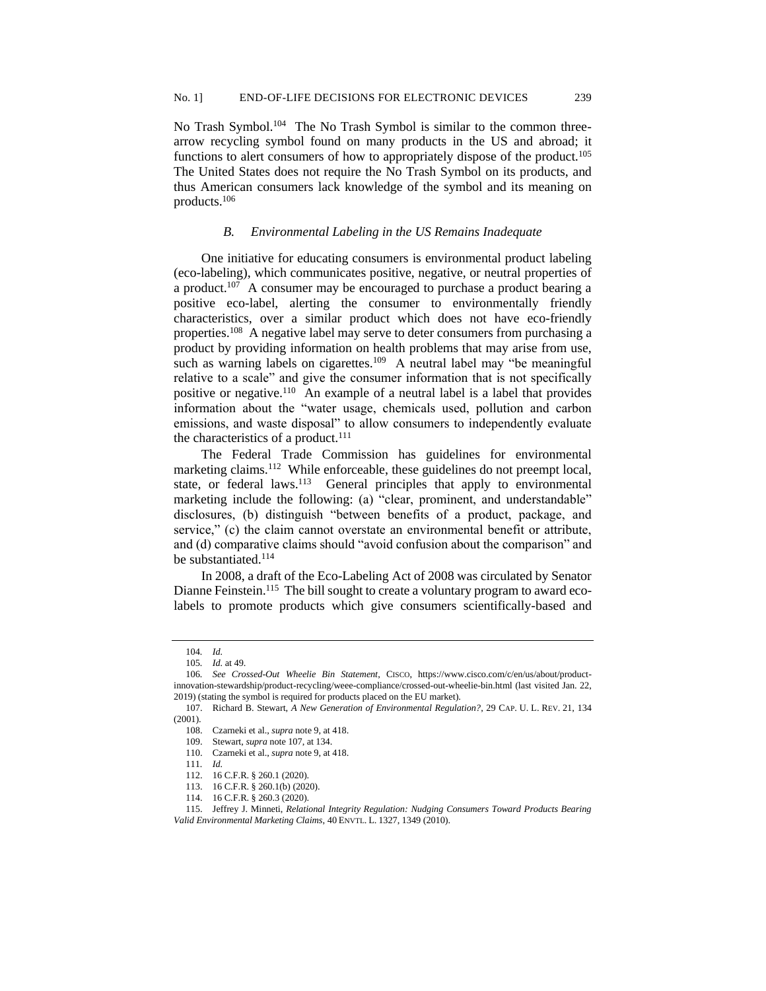No Trash Symbol.<sup>104</sup> The No Trash Symbol is similar to the common threearrow recycling symbol found on many products in the US and abroad; it functions to alert consumers of how to appropriately dispose of the product.<sup>105</sup> The United States does not require the No Trash Symbol on its products, and thus American consumers lack knowledge of the symbol and its meaning on products.<sup>106</sup>

#### *B. Environmental Labeling in the US Remains Inadequate*

One initiative for educating consumers is environmental product labeling (eco-labeling), which communicates positive, negative, or neutral properties of a product.<sup>107</sup> A consumer may be encouraged to purchase a product bearing a positive eco-label, alerting the consumer to environmentally friendly characteristics, over a similar product which does not have eco-friendly properties.<sup>108</sup> A negative label may serve to deter consumers from purchasing a product by providing information on health problems that may arise from use, such as warning labels on cigarettes.<sup>109</sup> A neutral label may "be meaningful relative to a scale" and give the consumer information that is not specifically positive or negative.<sup>110</sup> An example of a neutral label is a label that provides information about the "water usage, chemicals used, pollution and carbon emissions, and waste disposal" to allow consumers to independently evaluate the characteristics of a product. $111$ 

The Federal Trade Commission has guidelines for environmental marketing claims.<sup>112</sup> While enforceable, these guidelines do not preempt local, state, or federal laws.<sup>113</sup> General principles that apply to environmental marketing include the following: (a) "clear, prominent, and understandable" disclosures, (b) distinguish "between benefits of a product, package, and service," (c) the claim cannot overstate an environmental benefit or attribute, and (d) comparative claims should "avoid confusion about the comparison" and be substantiated.<sup>114</sup>

In 2008, a draft of the Eco-Labeling Act of 2008 was circulated by Senator Dianne Feinstein.<sup>115</sup> The bill sought to create a voluntary program to award ecolabels to promote products which give consumers scientifically-based and

<sup>104</sup>*. Id.*

<sup>105</sup>*. Id.* at 49.

<sup>106</sup>*. See Crossed-Out Wheelie Bin Statement*, CISCO, https://www.cisco.com/c/en/us/about/productinnovation-stewardship/product-recycling/weee-compliance/crossed-out-wheelie-bin.html (last visited Jan. 22, 2019) (stating the symbol is required for products placed on the EU market).

<sup>107.</sup> Richard B. Stewart, *A New Generation of Environmental Regulation?*, 29 CAP. U. L. REV. 21, 134 (2001).

<sup>108.</sup> Czarneki et al., *supra* note 9, at 418.

<sup>109.</sup> Stewart, *supra* note 107, at 134.

<sup>110.</sup> Czarneki et al., *supra* note 9, at 418.

<sup>111</sup>*. Id.*

<sup>112.</sup> 16 C.F.R. § 260.1 (2020).

<sup>113.</sup> 16 C.F.R. § 260.1(b) (2020).

<sup>114.</sup> 16 C.F.R. § 260.3 (2020).

<sup>115.</sup> Jeffrey J. Minneti, *Relational Integrity Regulation: Nudging Consumers Toward Products Bearing Valid Environmental Marketing Claims*, 40 ENVTL. L. 1327, 1349 (2010).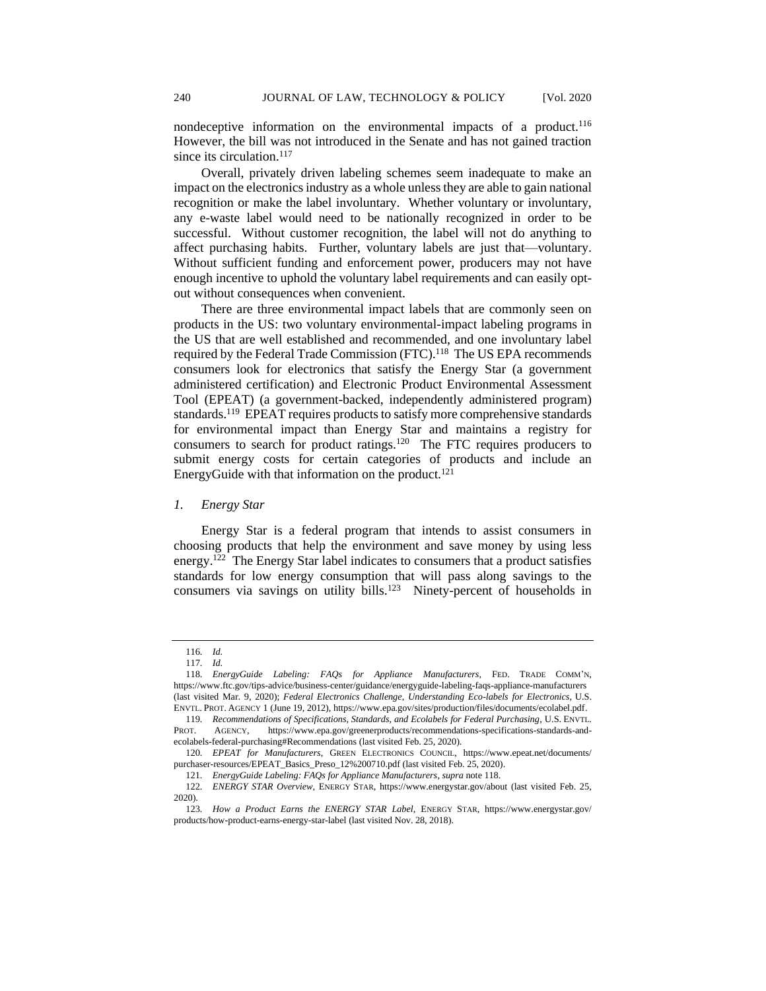nondeceptive information on the environmental impacts of a product.<sup>116</sup> However, the bill was not introduced in the Senate and has not gained traction since its circulation.<sup>117</sup>

Overall, privately driven labeling schemes seem inadequate to make an impact on the electronics industry as a whole unless they are able to gain national recognition or make the label involuntary. Whether voluntary or involuntary, any e-waste label would need to be nationally recognized in order to be successful. Without customer recognition, the label will not do anything to affect purchasing habits. Further, voluntary labels are just that—voluntary. Without sufficient funding and enforcement power, producers may not have enough incentive to uphold the voluntary label requirements and can easily optout without consequences when convenient.

There are three environmental impact labels that are commonly seen on products in the US: two voluntary environmental-impact labeling programs in the US that are well established and recommended, and one involuntary label required by the Federal Trade Commission (FTC).<sup>118</sup> The US EPA recommends consumers look for electronics that satisfy the Energy Star (a government administered certification) and Electronic Product Environmental Assessment Tool (EPEAT) (a government-backed, independently administered program) standards.<sup>119</sup> EPEAT requires products to satisfy more comprehensive standards for environmental impact than Energy Star and maintains a registry for consumers to search for product ratings.<sup>120</sup> The FTC requires producers to submit energy costs for certain categories of products and include an EnergyGuide with that information on the product.<sup>121</sup>

#### *1. Energy Star*

Energy Star is a federal program that intends to assist consumers in choosing products that help the environment and save money by using less energy.<sup>122</sup> The Energy Star label indicates to consumers that a product satisfies standards for low energy consumption that will pass along savings to the consumers via savings on utility bills.<sup>123</sup> Ninety-percent of households in

<sup>116</sup>*. Id.*

<sup>117</sup>*. Id.*

<sup>118</sup>*. EnergyGuide Labeling: FAQs for Appliance Manufacturers*, FED. TRADE COMM'N, https://www.ftc.gov/tips-advice/business-center/guidance/energyguide-labeling-faqs-appliance-manufacturers (last visited Mar. 9, 2020); *Federal Electronics Challenge*, *Understanding Eco-labels for Electronics*, U.S. ENVTL. PROT. AGENCY 1 (June 19, 2012), https://www.epa.gov/sites/production/files/documents/ecolabel.pdf.

<sup>119</sup>*. Recommendations of Specifications, Standards, and Ecolabels for Federal Purchasing*, U.S. ENVTL. PROT. AGENCY, https://www.epa.gov/greenerproducts/recommendations-specifications-standards-andecolabels-federal-purchasing#Recommendations (last visited Feb. 25, 2020).

<sup>120</sup>*. EPEAT for Manufacturers*, GREEN ELECTRONICS COUNCIL, https://www.epeat.net/documents/ purchaser-resources/EPEAT\_Basics\_Preso\_12%200710.pdf (last visited Feb. 25, 2020).

<sup>121</sup>*. EnergyGuide Labeling: FAQs for Appliance Manufacturers*, *supra* note 118.

<sup>122</sup>*. ENERGY STAR Overview*, ENERGY STAR, https://www.energystar.gov/about (last visited Feb. 25, 2020).

<sup>123</sup>*. How a Product Earns the ENERGY STAR Label,* ENERGY STAR, https://www.energystar.gov/ products/how-product-earns-energy-star-label (last visited Nov. 28, 2018).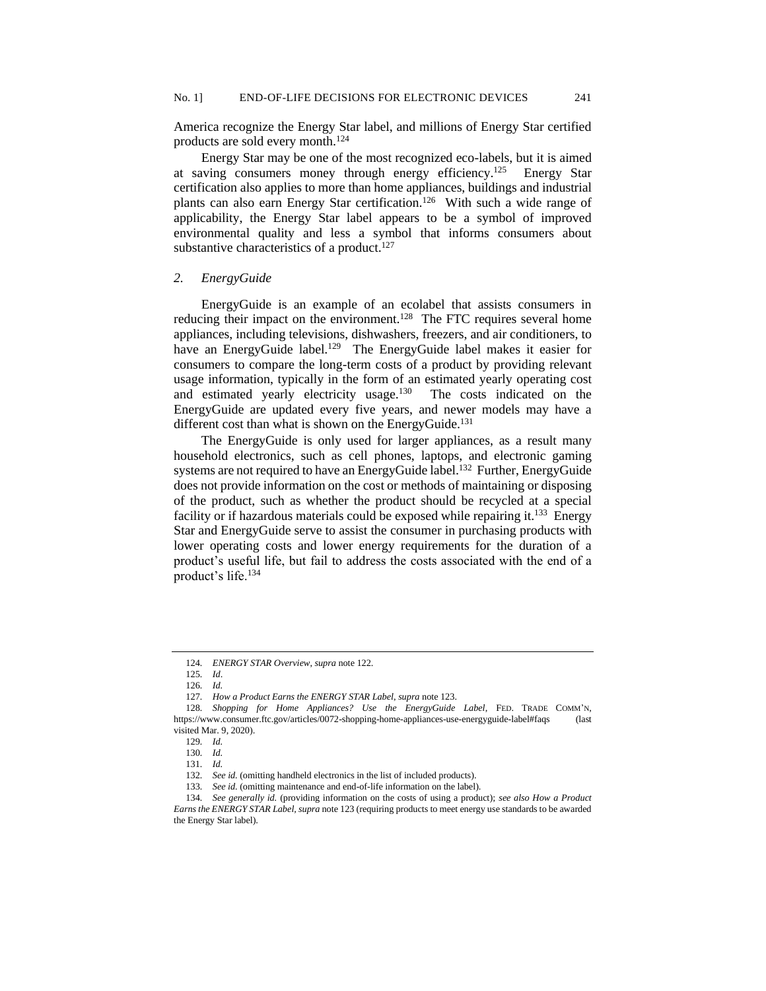America recognize the Energy Star label, and millions of Energy Star certified products are sold every month.<sup>124</sup>

Energy Star may be one of the most recognized eco-labels, but it is aimed at saving consumers money through energy efficiency.<sup>125</sup> Energy Star certification also applies to more than home appliances, buildings and industrial plants can also earn Energy Star certification.<sup>126</sup> With such a wide range of applicability, the Energy Star label appears to be a symbol of improved environmental quality and less a symbol that informs consumers about substantive characteristics of a product. $127$ 

#### *2. EnergyGuide*

EnergyGuide is an example of an ecolabel that assists consumers in reducing their impact on the environment.<sup>128</sup> The FTC requires several home appliances, including televisions, dishwashers, freezers, and air conditioners, to have an EnergyGuide label.<sup>129</sup> The EnergyGuide label makes it easier for consumers to compare the long-term costs of a product by providing relevant usage information, typically in the form of an estimated yearly operating cost and estimated yearly electricity usage.<sup>130</sup> The costs indicated on the EnergyGuide are updated every five years, and newer models may have a different cost than what is shown on the EnergyGuide.<sup>131</sup>

The EnergyGuide is only used for larger appliances, as a result many household electronics, such as cell phones, laptops, and electronic gaming systems are not required to have an EnergyGuide label.<sup>132</sup> Further, EnergyGuide does not provide information on the cost or methods of maintaining or disposing of the product, such as whether the product should be recycled at a special facility or if hazardous materials could be exposed while repairing it.<sup>133</sup> Energy Star and EnergyGuide serve to assist the consumer in purchasing products with lower operating costs and lower energy requirements for the duration of a product's useful life, but fail to address the costs associated with the end of a product's life.<sup>134</sup>

<sup>124</sup>*. ENERGY STAR Overview*, *supra* note 122.

<sup>125</sup>*. Id*.

<sup>126</sup>*. Id.*

<sup>127</sup>*. How a Product Earns the ENERGY STAR Label*, *supra* note 123.

<sup>128</sup>*. Shopping for Home Appliances? Use the EnergyGuide Label*, FED. TRADE COMM'N, https://www.consumer.ftc.gov/articles/0072-shopping-home-appliances-use-energyguide-label#faqs (last visited Mar. 9, 2020).

<sup>129</sup>*. Id.*

<sup>130</sup>*. Id.*

<sup>131</sup>*. Id.*

<sup>132</sup>*. See id.* (omitting handheld electronics in the list of included products).

<sup>133</sup>*. See id.* (omitting maintenance and end-of-life information on the label).

<sup>134</sup>*. See generally id.* (providing information on the costs of using a product); *see also How a Product Earns the ENERGY STAR Label, supra* note 123 (requiring products to meet energy use standards to be awarded the Energy Star label).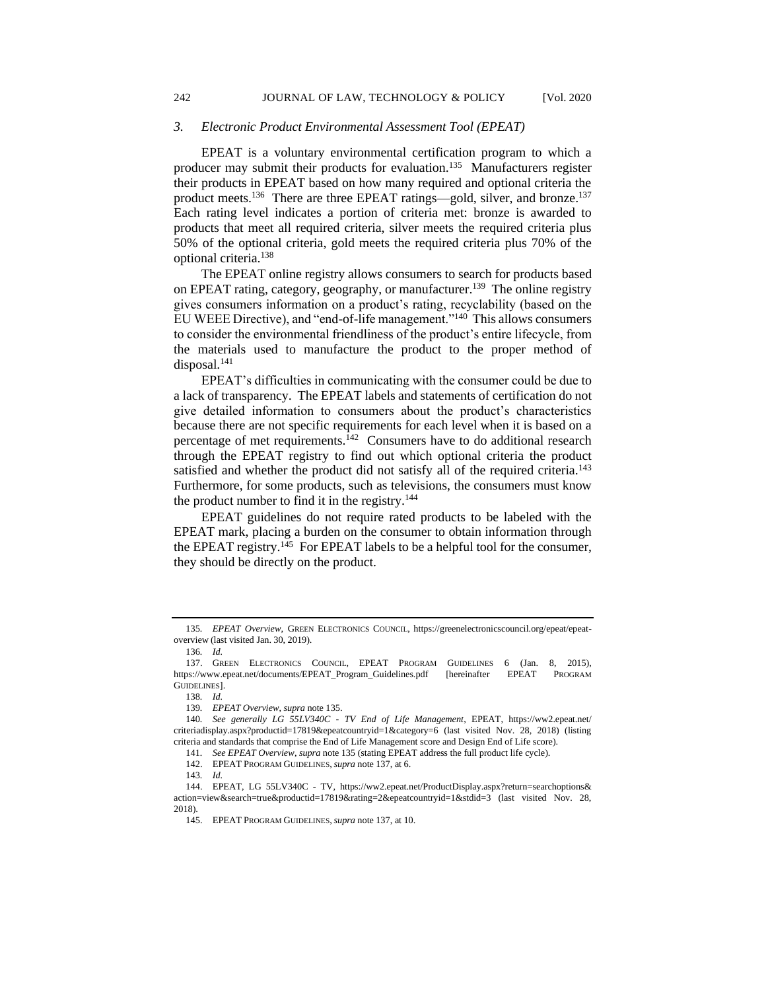#### *3. Electronic Product Environmental Assessment Tool (EPEAT)*

EPEAT is a voluntary environmental certification program to which a producer may submit their products for evaluation.<sup>135</sup> Manufacturers register their products in EPEAT based on how many required and optional criteria the product meets.<sup>136</sup> There are three EPEAT ratings—gold, silver, and bronze.<sup>137</sup> Each rating level indicates a portion of criteria met: bronze is awarded to products that meet all required criteria, silver meets the required criteria plus 50% of the optional criteria, gold meets the required criteria plus 70% of the optional criteria.<sup>138</sup>

The EPEAT online registry allows consumers to search for products based on EPEAT rating, category, geography, or manufacturer.<sup>139</sup> The online registry gives consumers information on a product's rating, recyclability (based on the EU WEEE Directive), and "end-of-life management."<sup>140</sup> This allows consumers to consider the environmental friendliness of the product's entire lifecycle, from the materials used to manufacture the product to the proper method of  $disposal.<sup>141</sup>$ 

EPEAT's difficulties in communicating with the consumer could be due to a lack of transparency. The EPEAT labels and statements of certification do not give detailed information to consumers about the product's characteristics because there are not specific requirements for each level when it is based on a percentage of met requirements.<sup>142</sup> Consumers have to do additional research through the EPEAT registry to find out which optional criteria the product satisfied and whether the product did not satisfy all of the required criteria.<sup>143</sup> Furthermore, for some products, such as televisions, the consumers must know the product number to find it in the registry.<sup>144</sup>

EPEAT guidelines do not require rated products to be labeled with the EPEAT mark, placing a burden on the consumer to obtain information through the EPEAT registry.<sup>145</sup> For EPEAT labels to be a helpful tool for the consumer, they should be directly on the product.

<sup>135</sup>*. EPEAT Overview*, GREEN ELECTRONICS COUNCIL, https://greenelectronicscouncil.org/epeat/epeatoverview (last visited Jan. 30, 2019).

<sup>136</sup>*. Id.*

<sup>137.</sup> GREEN ELECTRONICS COUNCIL, EPEAT PROGRAM GUIDELINES 6 (Jan. 8, 2015), https://www.epeat.net/documents/EPEAT\_Program\_Guidelines.pdf [hereinafter EPEAT PROGRAM GUIDELINES].

<sup>138</sup>*. Id.*

<sup>139</sup>*. EPEAT Overview*, *supra* note 135.

<sup>140</sup>*. See generally LG 55LV340C - TV End of Life Management*, EPEAT, https://ww2.epeat.net/ criteriadisplay.aspx?productid=17819&epeatcountryid=1&category=6 (last visited Nov. 28, 2018) (listing criteria and standards that comprise the End of Life Management score and Design End of Life score).

<sup>141</sup>*. See EPEAT Overview*, *supra* note 135 (stating EPEAT address the full product life cycle).

<sup>142.</sup> EPEAT PROGRAM GUIDELINES,*supra* note 137, at 6.

<sup>143</sup>*. Id.*

<sup>144.</sup> EPEAT, LG 55LV340C - TV, https://ww2.epeat.net/ProductDisplay.aspx?return=searchoptions& action=view&search=true&productid=17819&rating=2&epeatcountryid=1&stdid=3 (last visited Nov. 28, 2018).

<sup>145.</sup> EPEAT PROGRAM GUIDELINES,*supra* note 137, at 10.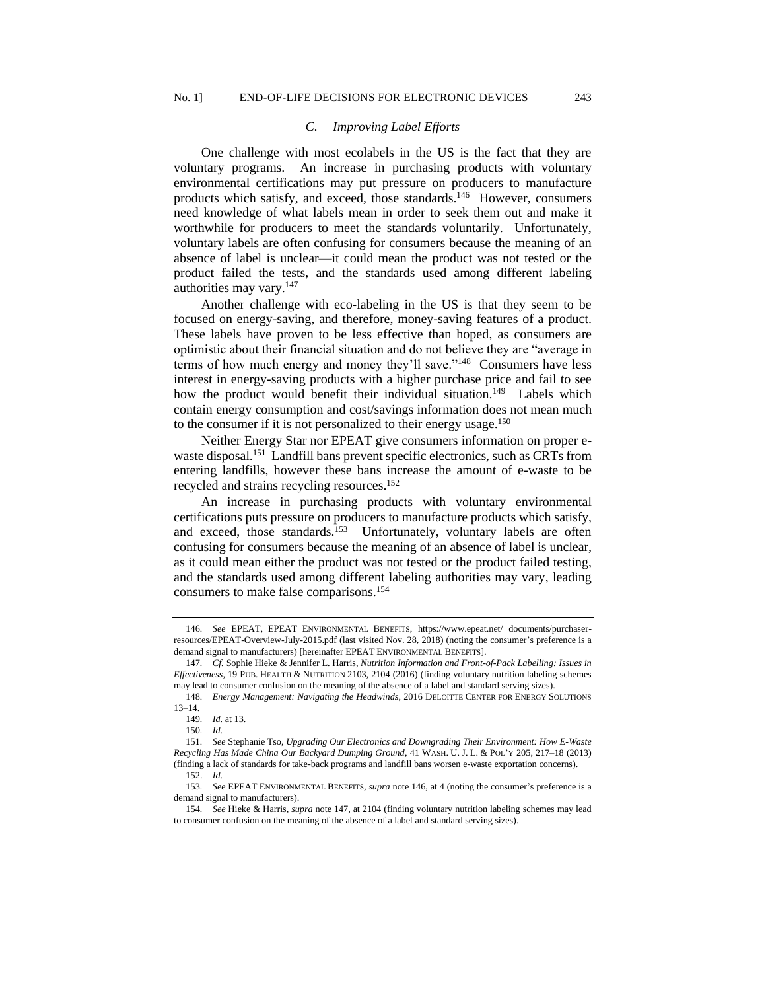#### *C. Improving Label Efforts*

One challenge with most ecolabels in the US is the fact that they are voluntary programs. An increase in purchasing products with voluntary environmental certifications may put pressure on producers to manufacture products which satisfy, and exceed, those standards.<sup>146</sup> However, consumers need knowledge of what labels mean in order to seek them out and make it worthwhile for producers to meet the standards voluntarily. Unfortunately, voluntary labels are often confusing for consumers because the meaning of an absence of label is unclear—it could mean the product was not tested or the product failed the tests, and the standards used among different labeling authorities may vary.<sup>147</sup>

Another challenge with eco-labeling in the US is that they seem to be focused on energy-saving, and therefore, money-saving features of a product. These labels have proven to be less effective than hoped, as consumers are optimistic about their financial situation and do not believe they are "average in terms of how much energy and money they'll save."<sup>148</sup> Consumers have less interest in energy-saving products with a higher purchase price and fail to see how the product would benefit their individual situation.<sup>149</sup> Labels which contain energy consumption and cost/savings information does not mean much to the consumer if it is not personalized to their energy usage.<sup>150</sup>

Neither Energy Star nor EPEAT give consumers information on proper ewaste disposal.<sup>151</sup> Landfill bans prevent specific electronics, such as CRTs from entering landfills, however these bans increase the amount of e-waste to be recycled and strains recycling resources.<sup>152</sup>

An increase in purchasing products with voluntary environmental certifications puts pressure on producers to manufacture products which satisfy, and exceed, those standards.<sup>153</sup> Unfortunately, voluntary labels are often confusing for consumers because the meaning of an absence of label is unclear, as it could mean either the product was not tested or the product failed testing, and the standards used among different labeling authorities may vary, leading consumers to make false comparisons. 154

<sup>146</sup>*. See* EPEAT, EPEAT ENVIRONMENTAL BENEFITS, https://www.epeat.net/ documents/purchaserresources/EPEAT-Overview-July-2015.pdf (last visited Nov. 28, 2018) (noting the consumer's preference is a demand signal to manufacturers) [hereinafter EPEAT ENVIRONMENTAL BENEFITS].

<sup>147</sup>*. Cf.* Sophie Hieke & Jennifer L. Harris, *Nutrition Information and Front-of-Pack Labelling: Issues in Effectiveness*, 19 PUB. HEALTH & NUTRITION 2103, 2104 (2016) (finding voluntary nutrition labeling schemes may lead to consumer confusion on the meaning of the absence of a label and standard serving sizes).

<sup>148</sup>*. Energy Management: Navigating the Headwinds*, 2016 DELOITTE CENTER FOR ENERGY SOLUTIONS 13–14.

<sup>149</sup>*. Id.* at 13.

<sup>150</sup>*. Id.*

<sup>151</sup>*. See* Stephanie Tso, *Upgrading Our Electronics and Downgrading Their Environment: How E-Waste Recycling Has Made China Our Backyard Dumping Ground*, 41 WASH. U. J. L. & POL'Y 205, 217–18 (2013) (finding a lack of standards for take-back programs and landfill bans worsen e-waste exportation concerns).

<sup>152.</sup> *Id.*

<sup>153</sup>*. See* EPEAT ENVIRONMENTAL BENEFITS, *supra* note 146, at 4 (noting the consumer's preference is a demand signal to manufacturers).

<sup>154</sup>*. See* Hieke & Harris, *supra* note 147, at 2104 (finding voluntary nutrition labeling schemes may lead to consumer confusion on the meaning of the absence of a label and standard serving sizes).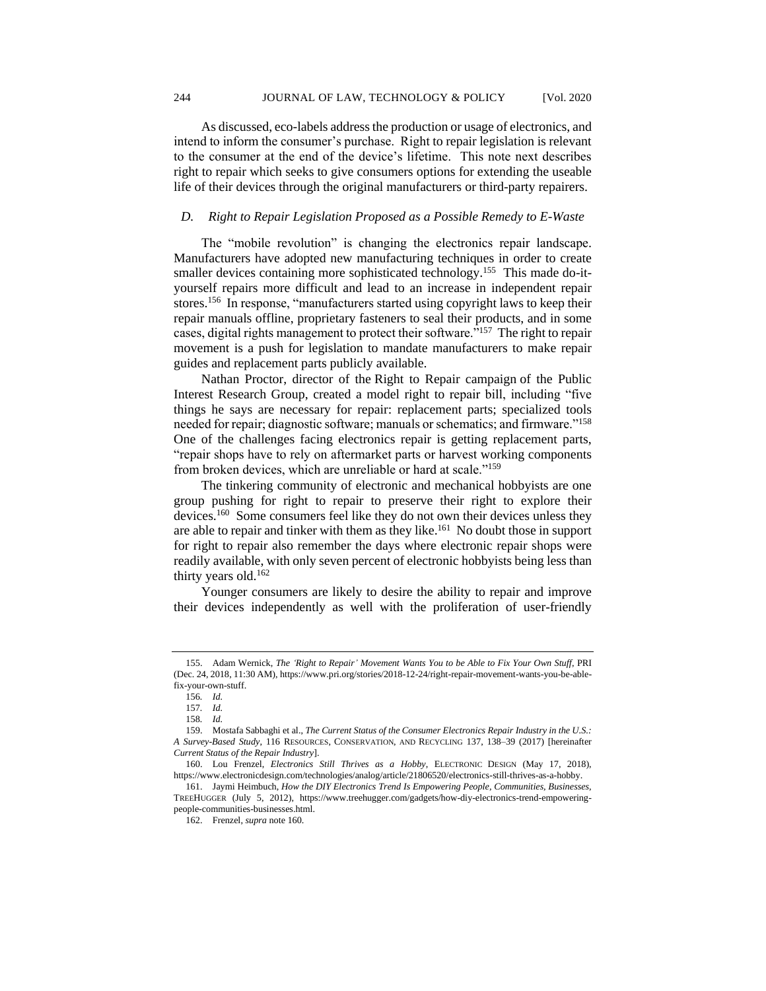As discussed, eco-labels address the production or usage of electronics, and intend to inform the consumer's purchase. Right to repair legislation is relevant to the consumer at the end of the device's lifetime. This note next describes right to repair which seeks to give consumers options for extending the useable life of their devices through the original manufacturers or third-party repairers.

#### *D. Right to Repair Legislation Proposed as a Possible Remedy to E-Waste*

The "mobile revolution" is changing the electronics repair landscape. Manufacturers have adopted new manufacturing techniques in order to create smaller devices containing more sophisticated technology.<sup>155</sup> This made do-ityourself repairs more difficult and lead to an increase in independent repair stores.<sup>156</sup> In response, "manufacturers started using copyright laws to keep their repair manuals offline, proprietary fasteners to seal their products, and in some cases, digital rights management to protect their software."<sup>157</sup> The right to repair movement is a push for legislation to mandate manufacturers to make repair guides and replacement parts publicly available.

Nathan Proctor, director of the Right to Repair campaign of the Public Interest Research Group, created a model right to repair bill, including "five things he says are necessary for repair: replacement parts; specialized tools needed for repair; diagnostic software; manuals or schematics; and firmware."<sup>158</sup> One of the challenges facing electronics repair is getting replacement parts, "repair shops have to rely on aftermarket parts or harvest working components from broken devices, which are unreliable or hard at scale."<sup>159</sup>

The tinkering community of electronic and mechanical hobbyists are one group pushing for right to repair to preserve their right to explore their devices.<sup>160</sup> Some consumers feel like they do not own their devices unless they are able to repair and tinker with them as they like.<sup>161</sup> No doubt those in support for right to repair also remember the days where electronic repair shops were readily available, with only seven percent of electronic hobbyists being less than thirty years old.<sup>162</sup>

Younger consumers are likely to desire the ability to repair and improve their devices independently as well with the proliferation of user-friendly

<sup>155.</sup> Adam Wernick, *The 'Right to Repair' Movement Wants You to be Able to Fix Your Own Stuff*, PRI (Dec. 24, 2018, 11:30 AM), https://www.pri.org/stories/2018-12-24/right-repair-movement-wants-you-be-ablefix-your-own-stuff.

<sup>156</sup>*. Id.*

<sup>157</sup>*. Id.*

<sup>158</sup>*. Id.*

<sup>159.</sup> Mostafa Sabbaghi et al., *The Current Status of the Consumer Electronics Repair Industry in the U.S.: A Survey-Based Study*, 116 RESOURCES, CONSERVATION, AND RECYCLING 137, 138–39 (2017) [hereinafter *Current Status of the Repair Industry*].

<sup>160.</sup> Lou Frenzel, *Electronics Still Thrives as a Hobby*, ELECTRONIC DESIGN (May 17, 2018), https://www.electronicdesign.com/technologies/analog/article/21806520/electronics-still-thrives-as-a-hobby.

<sup>161.</sup> Jaymi Heimbuch, *How the DIY Electronics Trend Is Empowering People, Communities, Businesses,* TREEHUGGER (July 5, 2012), https://www.treehugger.com/gadgets/how-diy-electronics-trend-empoweringpeople-communities-businesses.html.

<sup>162.</sup> Frenzel, *supra* note 160.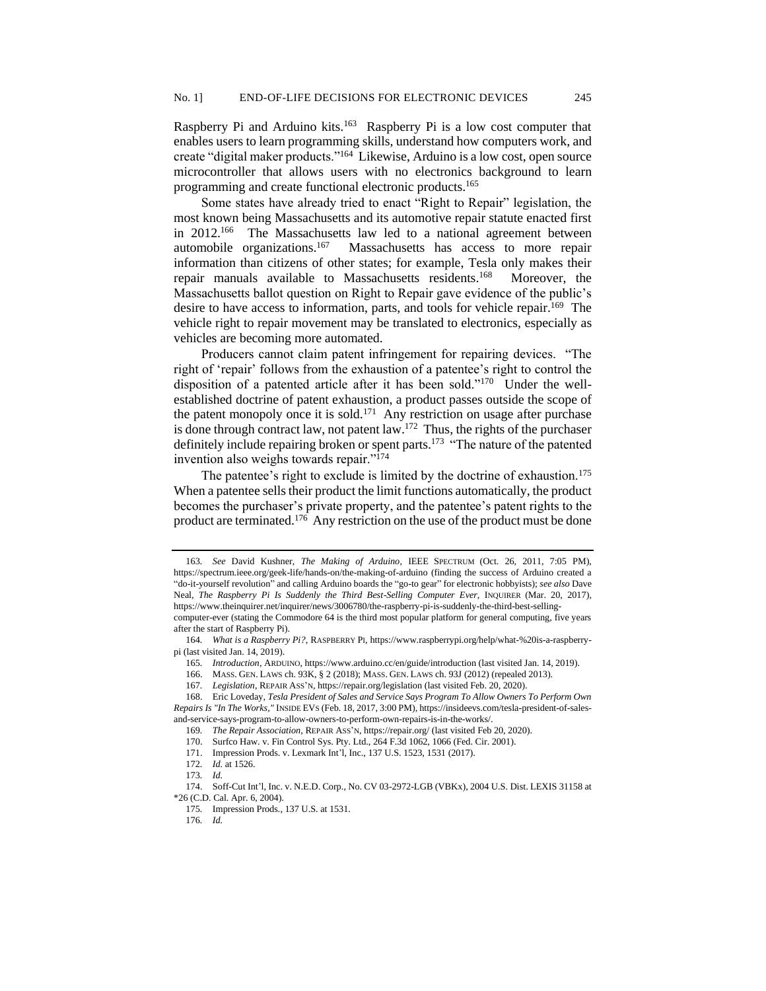Raspberry Pi and Arduino kits.<sup>163</sup> Raspberry Pi is a low cost computer that enables users to learn programming skills, understand how computers work, and create "digital maker products."<sup>164</sup> Likewise, Arduino is a low cost, open source microcontroller that allows users with no electronics background to learn programming and create functional electronic products.<sup>165</sup>

Some states have already tried to enact "Right to Repair" legislation, the most known being Massachusetts and its automotive repair statute enacted first in  $2012.^{166}$  The Massachusetts law led to a national agreement between automobile organizations.<sup>167</sup> Massachusetts has access to more repair information than citizens of other states; for example, Tesla only makes their repair manuals available to Massachusetts residents.<sup>168</sup> Moreover, the Massachusetts ballot question on Right to Repair gave evidence of the public's desire to have access to information, parts, and tools for vehicle repair.<sup>169</sup> The vehicle right to repair movement may be translated to electronics, especially as vehicles are becoming more automated.

Producers cannot claim patent infringement for repairing devices. "The right of 'repair' follows from the exhaustion of a patentee's right to control the disposition of a patented article after it has been sold."<sup>170</sup> Under the wellestablished doctrine of patent exhaustion, a product passes outside the scope of the patent monopoly once it is sold.<sup>171</sup> Any restriction on usage after purchase is done through contract law, not patent law. $172$  Thus, the rights of the purchaser definitely include repairing broken or spent parts.<sup>173</sup> "The nature of the patented invention also weighs towards repair."<sup>174</sup>

The patentee's right to exclude is limited by the doctrine of exhaustion.<sup>175</sup> When a patentee sells their product the limit functions automatically, the product becomes the purchaser's private property, and the patentee's patent rights to the product are terminated.<sup>176</sup> Any restriction on the use of the product must be done

<sup>163</sup>*. See* David Kushner, *The Making of Arduino*, IEEE SPECTRUM (Oct. 26, 2011, 7:05 PM), https://spectrum.ieee.org/geek-life/hands-on/the-making-of-arduino (finding the success of Arduino created a "do-it-yourself revolution" and calling Arduino boards the "go-to gear" for electronic hobbyists); *see also* Dave Neal, *The Raspberry Pi Is Suddenly the Third Best-Selling Computer Ever*, INQUIRER (Mar. 20, 2017), https://www.theinquirer.net/inquirer/news/3006780/the-raspberry-pi-is-suddenly-the-third-best-selling-

computer-ever (stating the Commodore 64 is the third most popular platform for general computing, five years after the start of Raspberry Pi).

<sup>164</sup>*. What is a Raspberry Pi?*, RASPBERRY PI, https://www.raspberrypi.org/help/what-%20is-a-raspberrypi (last visited Jan. 14, 2019).

<sup>165</sup>*. Introduction*, ARDUINO, https://www.arduino.cc/en/guide/introduction (last visited Jan. 14, 2019).

<sup>166.</sup> MASS. GEN. LAWS ch. 93K, § 2 (2018); MASS. GEN. LAWS ch. 93J (2012) (repealed 2013).

<sup>167</sup>*. Legislation*, REPAIR ASS'N, https://repair.org/legislation (last visited Feb. 20, 2020).

<sup>168.</sup> Eric Loveday, *Tesla President of Sales and Service Says Program To Allow Owners To Perform Own Repairs Is "In The Works,"* INSIDE EVS (Feb. 18, 2017, 3:00 PM), https://insideevs.com/tesla-president-of-salesand-service-says-program-to-allow-owners-to-perform-own-repairs-is-in-the-works/.

<sup>169</sup>*. The Repair Association*, REPAIR ASS'N, https://repair.org/ (last visited Feb 20, 2020).

<sup>170.</sup> Surfco Haw. v. Fin Control Sys. Pty. Ltd., 264 F.3d 1062, 1066 (Fed. Cir. 2001).

<sup>171.</sup> Impression Prods. v. Lexmark Int'l, Inc., 137 U.S. 1523, 1531 (2017).

<sup>172</sup>*. Id.* at 1526.

<sup>173</sup>*. Id.*

<sup>174.</sup> Soff-Cut Int'l, Inc. v. N.E.D. Corp., No. CV 03-2972-LGB (VBKx), 2004 U.S. Dist. LEXIS 31158 at \*26 (C.D. Cal. Apr. 6, 2004).

<sup>175</sup>*.* Impression Prods*.*, 137 U.S. at 1531.

<sup>176</sup>*. Id.*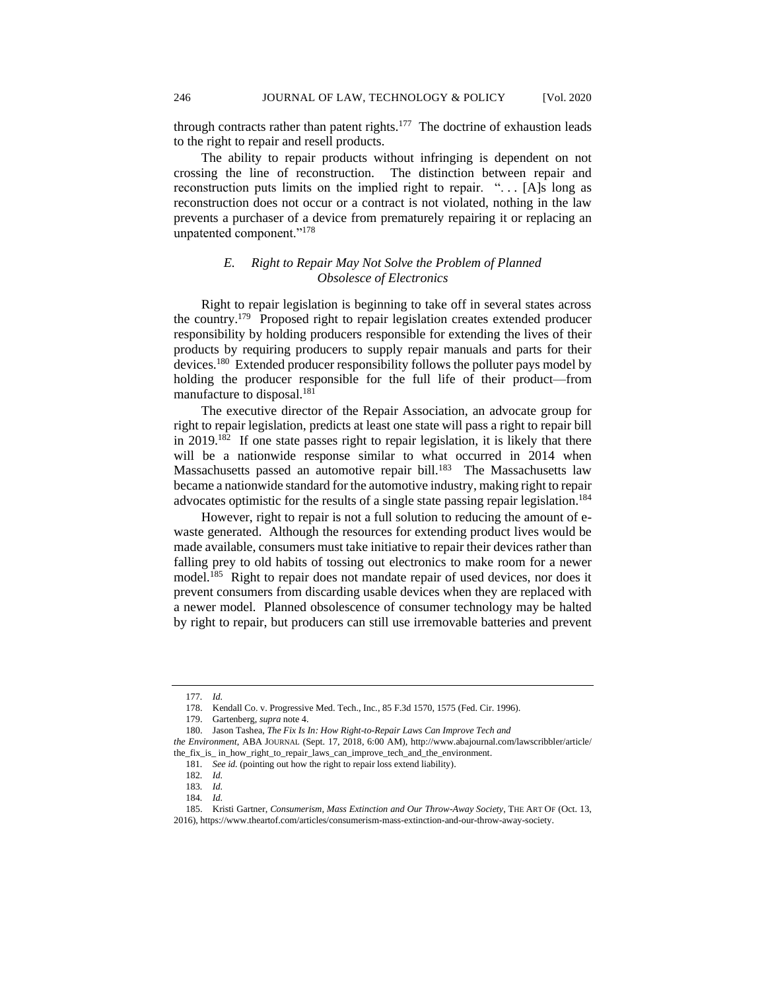through contracts rather than patent rights.<sup>177</sup> The doctrine of exhaustion leads to the right to repair and resell products.

The ability to repair products without infringing is dependent on not crossing the line of reconstruction. The distinction between repair and reconstruction puts limits on the implied right to repair. " $\ldots$  [A]s long as reconstruction does not occur or a contract is not violated, nothing in the law prevents a purchaser of a device from prematurely repairing it or replacing an unpatented component."<sup>178</sup>

# *E. Right to Repair May Not Solve the Problem of Planned Obsolesce of Electronics*

Right to repair legislation is beginning to take off in several states across the country.<sup>179</sup> Proposed right to repair legislation creates extended producer responsibility by holding producers responsible for extending the lives of their products by requiring producers to supply repair manuals and parts for their devices.<sup>180</sup> Extended producer responsibility follows the polluter pays model by holding the producer responsible for the full life of their product—from manufacture to disposal.<sup>181</sup>

The executive director of the Repair Association, an advocate group for right to repair legislation, predicts at least one state will pass a right to repair bill in 2019.<sup>182</sup> If one state passes right to repair legislation, it is likely that there will be a nationwide response similar to what occurred in 2014 when Massachusetts passed an automotive repair bill.<sup>183</sup> The Massachusetts law became a nationwide standard for the automotive industry, making right to repair advocates optimistic for the results of a single state passing repair legislation.<sup>184</sup>

However, right to repair is not a full solution to reducing the amount of ewaste generated. Although the resources for extending product lives would be made available, consumers must take initiative to repair their devices rather than falling prey to old habits of tossing out electronics to make room for a newer model.<sup>185</sup> Right to repair does not mandate repair of used devices, nor does it prevent consumers from discarding usable devices when they are replaced with a newer model. Planned obsolescence of consumer technology may be halted by right to repair, but producers can still use irremovable batteries and prevent

<sup>177</sup>*. Id.*

<sup>178.</sup> Kendall Co. v. Progressive Med. Tech., Inc., 85 F.3d 1570, 1575 (Fed. Cir. 1996).

<sup>179.</sup> Gartenberg, *supra* note 4.

<sup>180.</sup> Jason Tashea, *The Fix Is In: How Right-to-Repair Laws Can Improve Tech and* 

*the Environment*, ABA JOURNAL (Sept. 17, 2018, 6:00 AM), http://www.abajournal.com/lawscribbler/article/ the\_fix\_is\_ in\_how\_right\_to\_repair\_laws\_can\_improve\_tech\_and\_the\_environment.

<sup>181</sup>*. See id.* (pointing out how the right to repair loss extend liability).

<sup>182</sup>*. Id.*

<sup>183</sup>*. Id.*

<sup>184</sup>*. Id.*

<sup>185.</sup> Kristi Gartner, *Consumerism, Mass Extinction and Our Throw-Away Society*, THE ART OF (Oct. 13, 2016), https://www.theartof.com/articles/consumerism-mass-extinction-and-our-throw-away-society.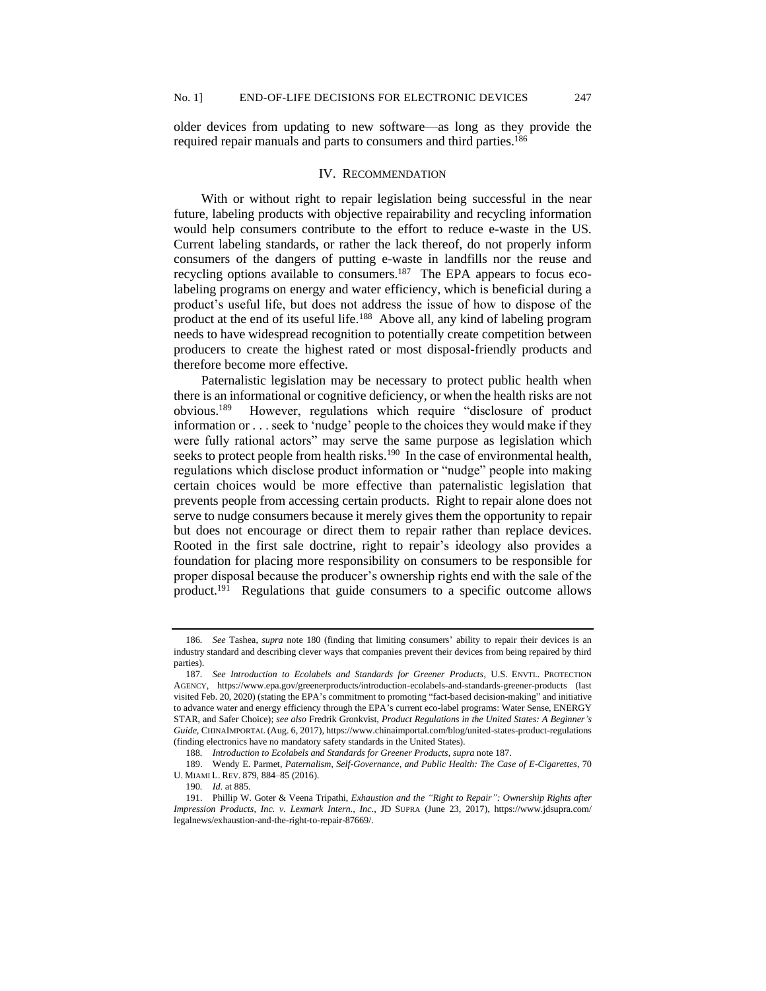older devices from updating to new software—as long as they provide the required repair manuals and parts to consumers and third parties.<sup>186</sup>

#### IV. RECOMMENDATION

With or without right to repair legislation being successful in the near future, labeling products with objective repairability and recycling information would help consumers contribute to the effort to reduce e-waste in the US. Current labeling standards, or rather the lack thereof, do not properly inform consumers of the dangers of putting e-waste in landfills nor the reuse and recycling options available to consumers.<sup>187</sup> The EPA appears to focus ecolabeling programs on energy and water efficiency, which is beneficial during a product's useful life, but does not address the issue of how to dispose of the product at the end of its useful life.<sup>188</sup> Above all, any kind of labeling program needs to have widespread recognition to potentially create competition between producers to create the highest rated or most disposal-friendly products and therefore become more effective.

Paternalistic legislation may be necessary to protect public health when there is an informational or cognitive deficiency, or when the health risks are not obvious.<sup>189</sup> However, regulations which require "disclosure of product information or . . . seek to 'nudge' people to the choices they would make if they were fully rational actors" may serve the same purpose as legislation which seeks to protect people from health risks.<sup>190</sup> In the case of environmental health, regulations which disclose product information or "nudge" people into making certain choices would be more effective than paternalistic legislation that prevents people from accessing certain products. Right to repair alone does not serve to nudge consumers because it merely gives them the opportunity to repair but does not encourage or direct them to repair rather than replace devices. Rooted in the first sale doctrine, right to repair's ideology also provides a foundation for placing more responsibility on consumers to be responsible for proper disposal because the producer's ownership rights end with the sale of the product.<sup>191</sup> Regulations that guide consumers to a specific outcome allows

<sup>186</sup>*. See* Tashea, *supra* note 180 (finding that limiting consumers' ability to repair their devices is an industry standard and describing clever ways that companies prevent their devices from being repaired by third parties).

<sup>187</sup>*. See Introduction to Ecolabels and Standards for Greener Products*, U.S. ENVTL. PROTECTION AGENCY, https://www.epa.gov/greenerproducts/introduction-ecolabels-and-standards-greener-products (last visited Feb. 20, 2020) (stating the EPA's commitment to promoting "fact-based decision-making" and initiative to advance water and energy efficiency through the EPA's current eco-label programs: Water Sense, ENERGY STAR, and Safer Choice); *see also* Fredrik Gronkvist, *Product Regulations in the United States: A Beginner's Guide*, CHINAIMPORTAL (Aug. 6, 2017), https://www.chinaimportal.com/blog/united-states-product-regulations (finding electronics have no mandatory safety standards in the United States).

<sup>188</sup>*. Introduction to Ecolabels and Standards for Greener Products*, *supra* note 187.

<sup>189.</sup> Wendy E. Parmet, *Paternalism, Self-Governance, and Public Health: The Case of E-Cigarettes*, 70 U. MIAMI L. REV. 879, 884–85 (2016).

<sup>190</sup>*. Id.* at 885.

<sup>191.</sup> Phillip W. Goter & Veena Tripathi, *Exhaustion and the "Right to Repair": Ownership Rights after Impression Products, Inc. v. Lexmark Intern., Inc.*, JD SUPRA (June 23, 2017), https://www.jdsupra.com/ legalnews/exhaustion-and-the-right-to-repair-87669/.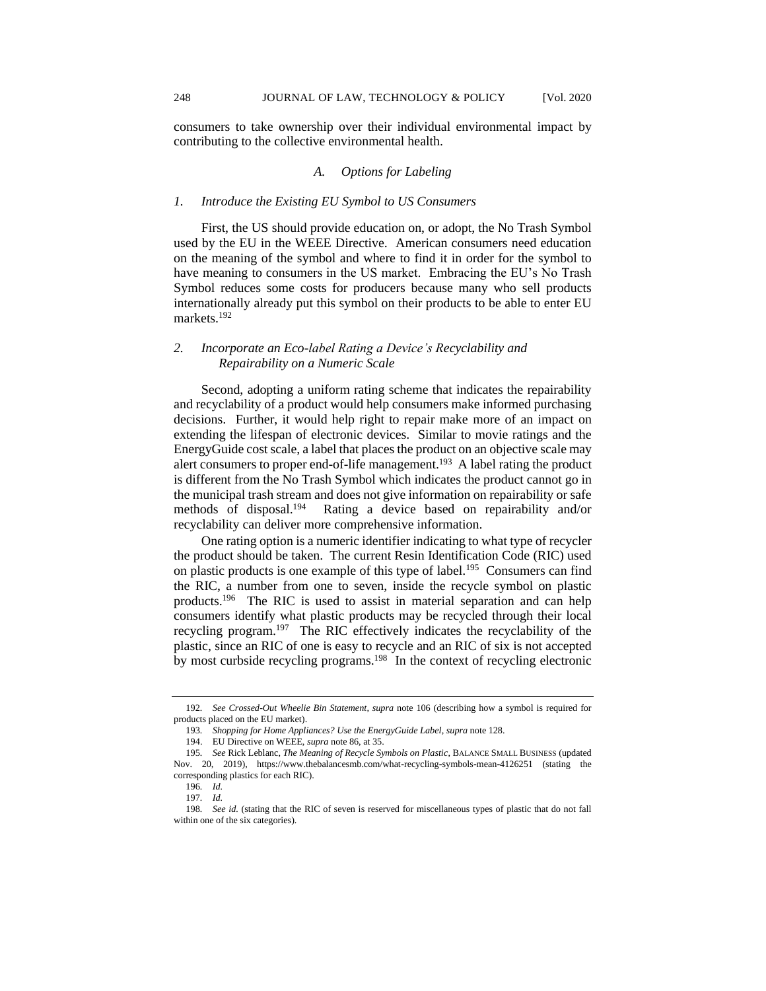consumers to take ownership over their individual environmental impact by contributing to the collective environmental health.

## *A. Options for Labeling*

#### *1. Introduce the Existing EU Symbol to US Consumers*

First, the US should provide education on, or adopt, the No Trash Symbol used by the EU in the WEEE Directive. American consumers need education on the meaning of the symbol and where to find it in order for the symbol to have meaning to consumers in the US market. Embracing the EU's No Trash Symbol reduces some costs for producers because many who sell products internationally already put this symbol on their products to be able to enter EU markets.<sup>192</sup>

## *2. Incorporate an Eco-label Rating a Device's Recyclability and Repairability on a Numeric Scale*

Second, adopting a uniform rating scheme that indicates the repairability and recyclability of a product would help consumers make informed purchasing decisions. Further, it would help right to repair make more of an impact on extending the lifespan of electronic devices. Similar to movie ratings and the EnergyGuide cost scale, a label that places the product on an objective scale may alert consumers to proper end-of-life management.<sup>193</sup> A label rating the product is different from the No Trash Symbol which indicates the product cannot go in the municipal trash stream and does not give information on repairability or safe methods of disposal.<sup>194</sup> Rating a device based on repairability and/or recyclability can deliver more comprehensive information.

One rating option is a numeric identifier indicating to what type of recycler the product should be taken. The current Resin Identification Code (RIC) used on plastic products is one example of this type of label.<sup>195</sup> Consumers can find the RIC, a number from one to seven, inside the recycle symbol on plastic products.<sup>196</sup> The RIC is used to assist in material separation and can help consumers identify what plastic products may be recycled through their local recycling program.<sup>197</sup> The RIC effectively indicates the recyclability of the plastic, since an RIC of one is easy to recycle and an RIC of six is not accepted by most curbside recycling programs.<sup>198</sup> In the context of recycling electronic

<sup>192</sup>*. See Crossed-Out Wheelie Bin Statement, supra* note 106 (describing how a symbol is required for products placed on the EU market).

<sup>193</sup>*. Shopping for Home Appliances? Use the EnergyGuide Label*, *supra* note 128.

<sup>194.</sup> EU Directive on WEEE, *supra* note 86, at 35.

<sup>195</sup>*. See* Rick Leblanc, *The Meaning of Recycle Symbols on Plastic*, BALANCE SMALL BUSINESS (updated Nov. 20, 2019), https://www.thebalancesmb.com/what-recycling-symbols-mean-4126251 (stating the corresponding plastics for each RIC).

<sup>196</sup>*. Id.*

<sup>197</sup>*. Id.*

<sup>198</sup>*. See id.* (stating that the RIC of seven is reserved for miscellaneous types of plastic that do not fall within one of the six categories).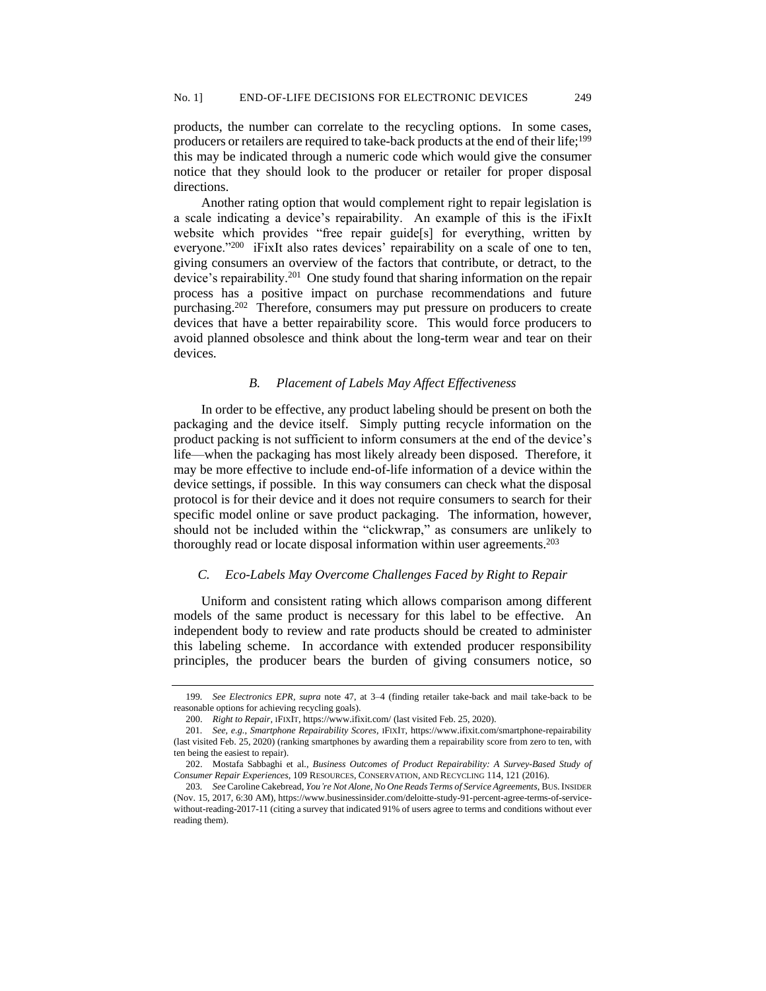products, the number can correlate to the recycling options. In some cases, producers or retailers are required to take-back products at the end of their life;<sup>199</sup> this may be indicated through a numeric code which would give the consumer notice that they should look to the producer or retailer for proper disposal directions.

Another rating option that would complement right to repair legislation is a scale indicating a device's repairability. An example of this is the iFixIt website which provides "free repair guide[s] for everything, written by everyone."<sup>200</sup> iFixIt also rates devices' repairability on a scale of one to ten, giving consumers an overview of the factors that contribute, or detract, to the device's repairability.<sup>201</sup> One study found that sharing information on the repair process has a positive impact on purchase recommendations and future purchasing.<sup>202</sup> Therefore, consumers may put pressure on producers to create devices that have a better repairability score. This would force producers to avoid planned obsolesce and think about the long-term wear and tear on their devices.

#### *B. Placement of Labels May Affect Effectiveness*

In order to be effective, any product labeling should be present on both the packaging and the device itself. Simply putting recycle information on the product packing is not sufficient to inform consumers at the end of the device's life—when the packaging has most likely already been disposed. Therefore, it may be more effective to include end-of-life information of a device within the device settings, if possible. In this way consumers can check what the disposal protocol is for their device and it does not require consumers to search for their specific model online or save product packaging. The information, however, should not be included within the "clickwrap," as consumers are unlikely to thoroughly read or locate disposal information within user agreements.<sup>203</sup>

#### *C. Eco-Labels May Overcome Challenges Faced by Right to Repair*

Uniform and consistent rating which allows comparison among different models of the same product is necessary for this label to be effective. An independent body to review and rate products should be created to administer this labeling scheme. In accordance with extended producer responsibility principles, the producer bears the burden of giving consumers notice, so

<sup>199</sup>*. See Electronics EPR, supra* note 47, at 3–4 (finding retailer take-back and mail take-back to be reasonable options for achieving recycling goals).

<sup>200.</sup> *Right to Repair,* IFIXIT, https://www.ifixit.com/ (last visited Feb. 25, 2020).

<sup>201</sup>*. See, e.g.*, *Smartphone Repairability Scores*, IFIXIT, https://www.ifixit.com/smartphone-repairability (last visited Feb. 25, 2020) (ranking smartphones by awarding them a repairability score from zero to ten, with ten being the easiest to repair).

<sup>202.</sup> Mostafa Sabbaghi et al., *Business Outcomes of Product Repairability: A Survey-Based Study of Consumer Repair Experiences*, 109 RESOURCES, CONSERVATION, AND RECYCLING 114, 121 (2016).

<sup>203</sup>*. See* Caroline Cakebread, *You're Not Alone, No One Reads Terms of Service Agreements*, BUS.INSIDER (Nov. 15, 2017, 6:30 AM), https://www.businessinsider.com/deloitte-study-91-percent-agree-terms-of-servicewithout-reading-2017-11 (citing a survey that indicated 91% of users agree to terms and conditions without ever reading them).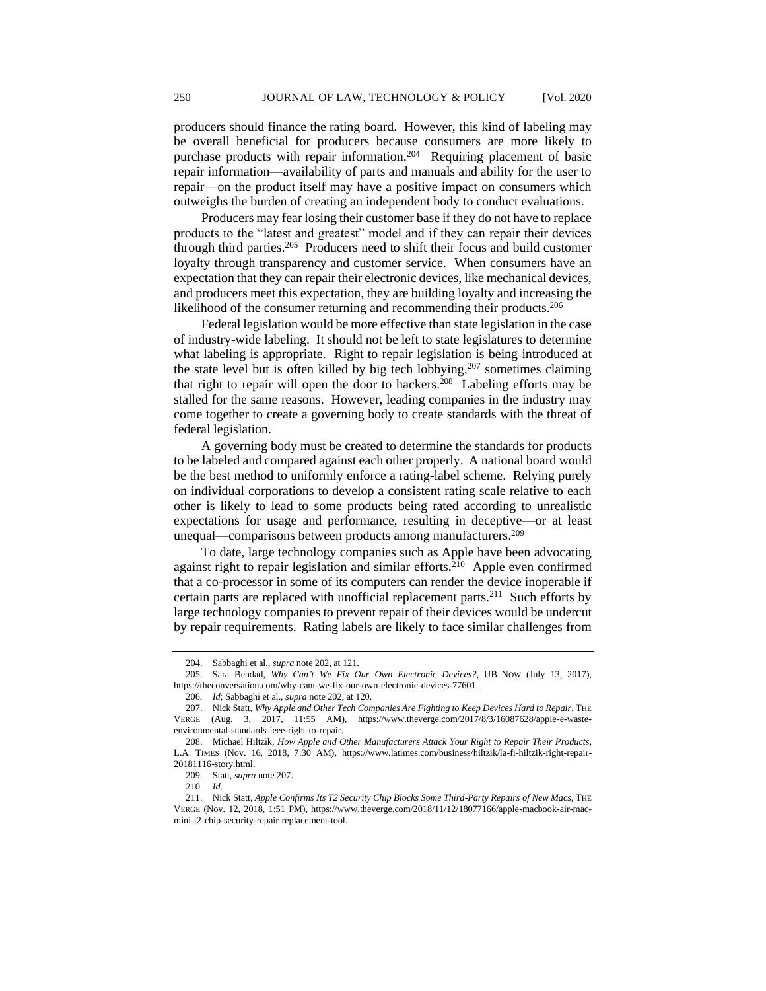producers should finance the rating board. However, this kind of labeling may be overall beneficial for producers because consumers are more likely to purchase products with repair information.<sup>204</sup> Requiring placement of basic repair information—availability of parts and manuals and ability for the user to repair—on the product itself may have a positive impact on consumers which outweighs the burden of creating an independent body to conduct evaluations.

Producers may fear losing their customer base if they do not have to replace products to the "latest and greatest" model and if they can repair their devices through third parties.<sup>205</sup> Producers need to shift their focus and build customer loyalty through transparency and customer service. When consumers have an expectation that they can repair their electronic devices, like mechanical devices, and producers meet this expectation, they are building loyalty and increasing the likelihood of the consumer returning and recommending their products.<sup>206</sup>

Federal legislation would be more effective than state legislation in the case of industry-wide labeling. It should not be left to state legislatures to determine what labeling is appropriate. Right to repair legislation is being introduced at the state level but is often killed by big tech lobbying,<sup>207</sup> sometimes claiming that right to repair will open the door to hackers.<sup>208</sup> Labeling efforts may be stalled for the same reasons. However, leading companies in the industry may come together to create a governing body to create standards with the threat of federal legislation.

A governing body must be created to determine the standards for products to be labeled and compared against each other properly. A national board would be the best method to uniformly enforce a rating-label scheme. Relying purely on individual corporations to develop a consistent rating scale relative to each other is likely to lead to some products being rated according to unrealistic expectations for usage and performance, resulting in deceptive—or at least unequal—comparisons between products among manufacturers.<sup>209</sup>

To date, large technology companies such as Apple have been advocating against right to repair legislation and similar efforts.<sup>210</sup> Apple even confirmed that a co-processor in some of its computers can render the device inoperable if certain parts are replaced with unofficial replacement parts.<sup>211</sup> Such efforts by large technology companies to prevent repair of their devices would be undercut by repair requirements. Rating labels are likely to face similar challenges from

<sup>204.</sup> Sabbaghi et al., *supra* note 202, at 121.

<sup>205.</sup> Sara Behdad, *Why Can't We Fix Our Own Electronic Devices?*, UB NOW (July 13, 2017), https://theconversation.com/why-cant-we-fix-our-own-electronic-devices-77601.

<sup>206</sup>*. Id*; Sabbaghi et al., *supra* note 202, at 120.

<sup>207.</sup> Nick Statt, *Why Apple and Other Tech Companies Are Fighting to Keep Devices Hard to Repair*, THE VERGE (Aug. 3, 2017, 11:55 AM), https://www.theverge.com/2017/8/3/16087628/apple-e-wasteenvironmental-standards-ieee-right-to-repair.

<sup>208.</sup> Michael Hiltzik, *How Apple and Other Manufacturers Attack Your Right to Repair Their Products*, L.A. TIMES (Nov. 16, 2018, 7:30 AM), https://www.latimes.com/business/hiltzik/la-fi-hiltzik-right-repair-20181116-story.html.

<sup>209.</sup> Statt, *supra* note 207.

<sup>210</sup>*. Id.*

<sup>211.</sup> Nick Statt, *Apple Confirms Its T2 Security Chip Blocks Some Third-Party Repairs of New Macs,* THE VERGE (Nov. 12, 2018, 1:51 PM), https://www.theverge.com/2018/11/12/18077166/apple-macbook-air-macmini-t2-chip-security-repair-replacement-tool.